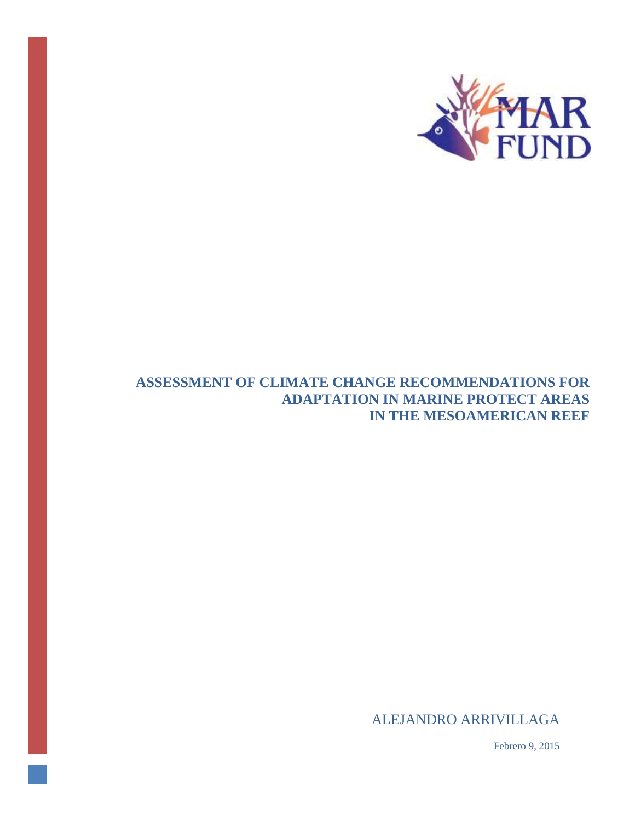

## **ASSESSMENT OF CLIMATE CHANGE RECOMMENDATIONS FOR ADAPTATION IN MARINE PROTECT AREAS IN THE MESOAMERICAN REEF**

ALEJANDRO ARRIVILLAGA

Febrero 9, 2015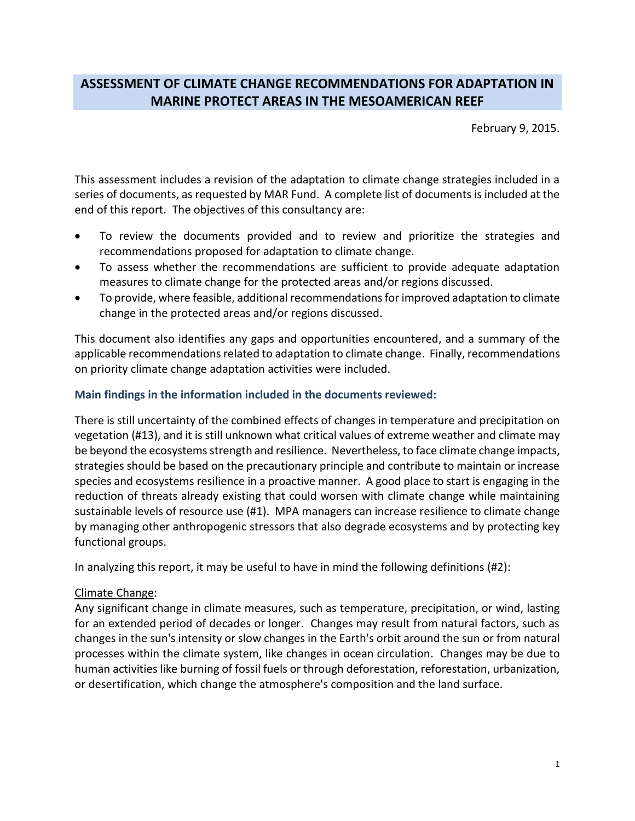# **ASSESSMENT OF CLIMATE CHANGE RECOMMENDATIONS FOR ADAPTATION IN MARINE PROTECT AREAS IN THE MESOAMERICAN REEF**

February 9, 2015.

This assessment includes a revision of the adaptation to climate change strategies included in a series of documents, as requested by MAR Fund. A complete list of documents is included at the end of this report. The objectives of this consultancy are:

- To review the documents provided and to review and prioritize the strategies and recommendations proposed for adaptation to climate change.
- To assess whether the recommendations are sufficient to provide adequate adaptation measures to climate change for the protected areas and/or regions discussed.
- To provide, where feasible, additional recommendations for improved adaptation to climate change in the protected areas and/or regions discussed.

This document also identifies any gaps and opportunities encountered, and a summary of the applicable recommendations related to adaptation to climate change. Finally, recommendations on priority climate change adaptation activities were included.

## **Main findings in the information included in the documents reviewed:**

There is still uncertainty of the combined effects of changes in temperature and precipitation on vegetation (#13), and it is still unknown what critical values of extreme weather and climate may be beyond the ecosystems strength and resilience. Nevertheless, to face climate change impacts, strategies should be based on the precautionary principle and contribute to maintain or increase species and ecosystems resilience in a proactive manner. A good place to start is engaging in the reduction of threats already existing that could worsen with climate change while maintaining sustainable levels of resource use (#1). MPA managers can increase resilience to climate change by managing other anthropogenic stressors that also degrade ecosystems and by protecting key functional groups.

In analyzing this report, it may be useful to have in mind the following definitions (#2):

## Climate Change:

Any significant change in climate measures, such as temperature, precipitation, or wind, lasting for an extended period of decades or longer. Changes may result from natural factors, such as changes in the sun's intensity or slow changes in the Earth's orbit around the sun or from natural processes within the climate system, like changes in ocean circulation. Changes may be due to human activities like burning of fossil fuels or through deforestation, reforestation, urbanization, or desertification, which change the atmosphere's composition and the land surface.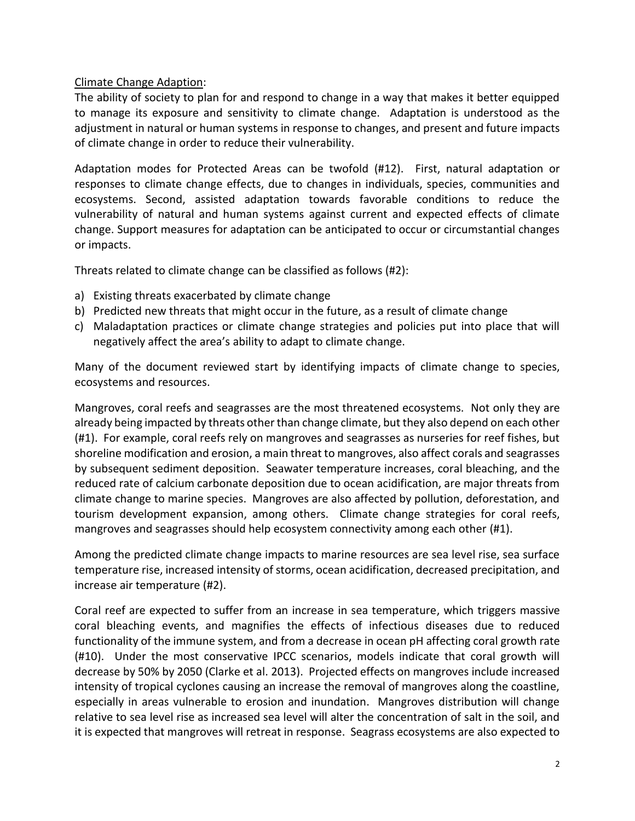## Climate Change Adaption:

The ability of society to plan for and respond to change in a way that makes it better equipped to manage its exposure and sensitivity to climate change. Adaptation is understood as the adjustment in natural or human systems in response to changes, and present and future impacts of climate change in order to reduce their vulnerability.

Adaptation modes for Protected Areas can be twofold (#12). First, natural adaptation or responses to climate change effects, due to changes in individuals, species, communities and ecosystems. Second, assisted adaptation towards favorable conditions to reduce the vulnerability of natural and human systems against current and expected effects of climate change. Support measures for adaptation can be anticipated to occur or circumstantial changes or impacts.

Threats related to climate change can be classified as follows (#2):

- a) Existing threats exacerbated by climate change
- b) Predicted new threats that might occur in the future, as a result of climate change
- c) Maladaptation practices or climate change strategies and policies put into place that will negatively affect the area's ability to adapt to climate change.

Many of the document reviewed start by identifying impacts of climate change to species, ecosystems and resources.

Mangroves, coral reefs and seagrasses are the most threatened ecosystems. Not only they are already being impacted by threats other than change climate, but they also depend on each other (#1). For example, coral reefs rely on mangroves and seagrasses as nurseries for reef fishes, but shoreline modification and erosion, a main threat to mangroves, also affect corals and seagrasses by subsequent sediment deposition. Seawater temperature increases, coral bleaching, and the reduced rate of calcium carbonate deposition due to ocean acidification, are major threats from climate change to marine species. Mangroves are also affected by pollution, deforestation, and tourism development expansion, among others. Climate change strategies for coral reefs, mangroves and seagrasses should help ecosystem connectivity among each other (#1).

Among the predicted climate change impacts to marine resources are sea level rise, sea surface temperature rise, increased intensity of storms, ocean acidification, decreased precipitation, and increase air temperature (#2).

Coral reef are expected to suffer from an increase in sea temperature, which triggers massive coral bleaching events, and magnifies the effects of infectious diseases due to reduced functionality of the immune system, and from a decrease in ocean pH affecting coral growth rate (#10). Under the most conservative IPCC scenarios, models indicate that coral growth will decrease by 50% by 2050 (Clarke et al. 2013). Projected effects on mangroves include increased intensity of tropical cyclones causing an increase the removal of mangroves along the coastline, especially in areas vulnerable to erosion and inundation. Mangroves distribution will change relative to sea level rise as increased sea level will alter the concentration of salt in the soil, and it is expected that mangroves will retreat in response. Seagrass ecosystems are also expected to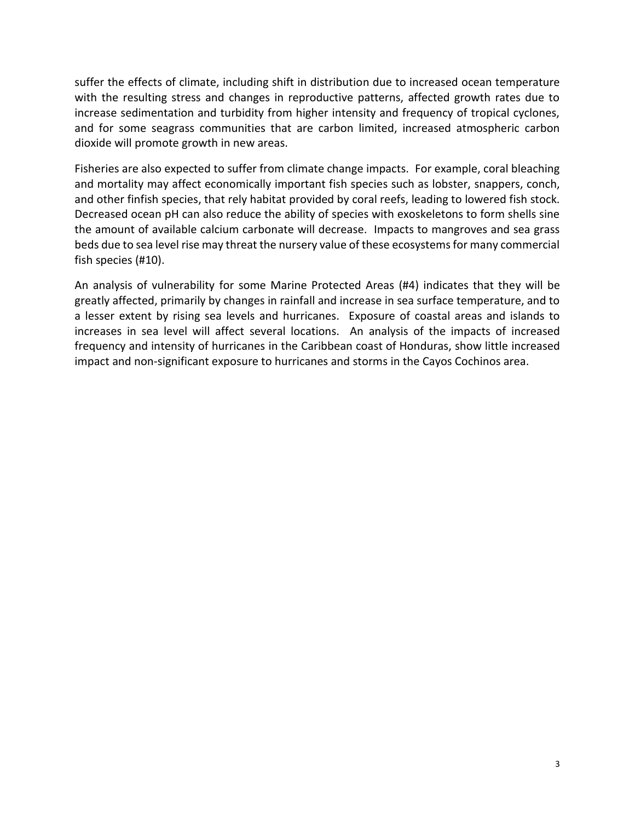suffer the effects of climate, including shift in distribution due to increased ocean temperature with the resulting stress and changes in reproductive patterns, affected growth rates due to increase sedimentation and turbidity from higher intensity and frequency of tropical cyclones, and for some seagrass communities that are carbon limited, increased atmospheric carbon dioxide will promote growth in new areas.

Fisheries are also expected to suffer from climate change impacts. For example, coral bleaching and mortality may affect economically important fish species such as lobster, snappers, conch, and other finfish species, that rely habitat provided by coral reefs, leading to lowered fish stock. Decreased ocean pH can also reduce the ability of species with exoskeletons to form shells sine the amount of available calcium carbonate will decrease. Impacts to mangroves and sea grass beds due to sea level rise may threat the nursery value of these ecosystems for many commercial fish species (#10).

An analysis of vulnerability for some Marine Protected Areas (#4) indicates that they will be greatly affected, primarily by changes in rainfall and increase in sea surface temperature, and to a lesser extent by rising sea levels and hurricanes. Exposure of coastal areas and islands to increases in sea level will affect several locations. An analysis of the impacts of increased frequency and intensity of hurricanes in the Caribbean coast of Honduras, show little increased impact and non-significant exposure to hurricanes and storms in the Cayos Cochinos area.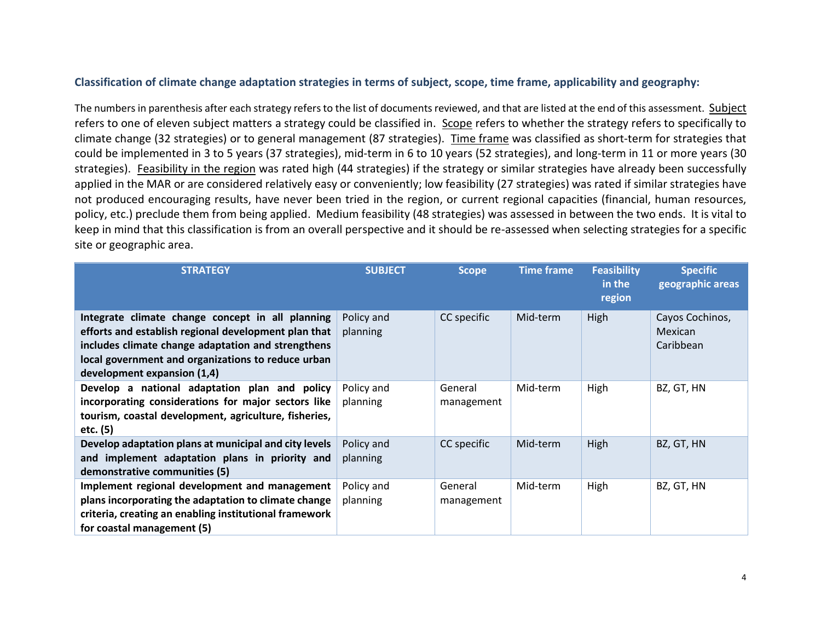## **Classification of climate change adaptation strategies in terms of subject, scope, time frame, applicability and geography:**

The numbers in parenthesis after each strategy refers to the list of documents reviewed, and that are listed at the end of this assessment. Subject refers to one of eleven subject matters a strategy could be classified in. Scope refers to whether the strategy refers to specifically to climate change (32 strategies) or to general management (87 strategies). Time frame was classified as short-term for strategies that could be implemented in 3 to 5 years (37 strategies), mid-term in 6 to 10 years (52 strategies), and long-term in 11 or more years (30 strategies). Feasibility in the region was rated high (44 strategies) if the strategy or similar strategies have already been successfully applied in the MAR or are considered relatively easy or conveniently; low feasibility (27 strategies) was rated if similar strategies have not produced encouraging results, have never been tried in the region, or current regional capacities (financial, human resources, policy, etc.) preclude them from being applied. Medium feasibility (48 strategies) was assessed in between the two ends. It is vital to keep in mind that this classification is from an overall perspective and it should be re-assessed when selecting strategies for a specific site or geographic area.

| <b>STRATEGY</b>                                                                                                                                                                                                                                     | <b>SUBJECT</b>         | <b>Scope</b>          | <b>Time frame</b> | <b>Feasibility</b><br>in the<br>region | <b>Specific</b><br>geographic areas     |
|-----------------------------------------------------------------------------------------------------------------------------------------------------------------------------------------------------------------------------------------------------|------------------------|-----------------------|-------------------|----------------------------------------|-----------------------------------------|
| Integrate climate change concept in all planning<br>efforts and establish regional development plan that<br>includes climate change adaptation and strengthens<br>local government and organizations to reduce urban<br>development expansion (1,4) | Policy and<br>planning | CC specific           | Mid-term          | High                                   | Cayos Cochinos,<br>Mexican<br>Caribbean |
| Develop a national adaptation plan and policy<br>incorporating considerations for major sectors like<br>tourism, coastal development, agriculture, fisheries,<br>etc. (5)                                                                           | Policy and<br>planning | General<br>management | Mid-term          | High                                   | BZ, GT, HN                              |
| Develop adaptation plans at municipal and city levels<br>and implement adaptation plans in priority and<br>demonstrative communities (5)                                                                                                            | Policy and<br>planning | CC specific           | Mid-term          | High                                   | BZ, GT, HN                              |
| Implement regional development and management<br>plans incorporating the adaptation to climate change<br>criteria, creating an enabling institutional framework<br>for coastal management (5)                                                       | Policy and<br>planning | General<br>management | Mid-term          | High                                   | BZ, GT, HN                              |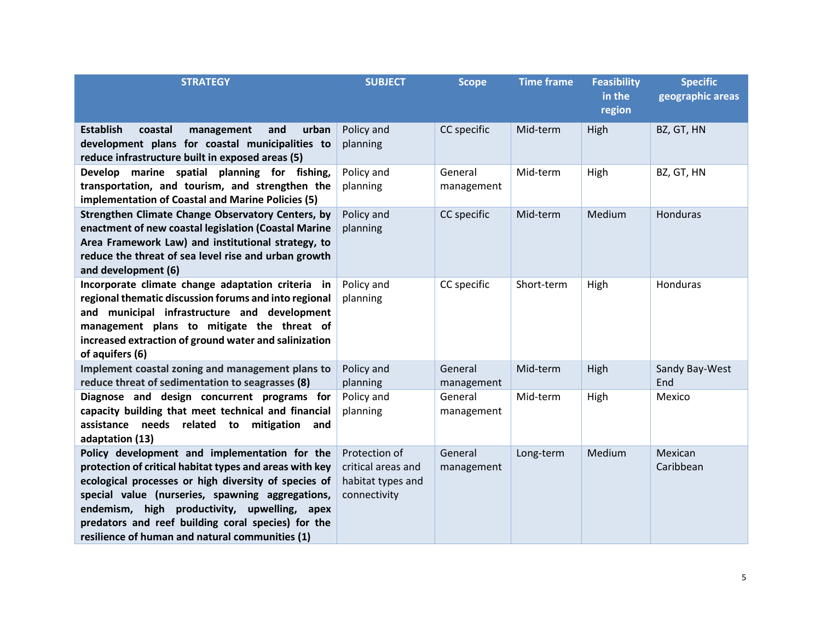| <b>STRATEGY</b>                                                                                                                                                                                                                                                                                                                                                               | <b>SUBJECT</b>                                                           | <b>Scope</b>          | <b>Time frame</b> | <b>Feasibility</b><br>in the<br>region | <b>Specific</b><br>geographic areas |
|-------------------------------------------------------------------------------------------------------------------------------------------------------------------------------------------------------------------------------------------------------------------------------------------------------------------------------------------------------------------------------|--------------------------------------------------------------------------|-----------------------|-------------------|----------------------------------------|-------------------------------------|
| <b>Establish</b><br>and<br>urban<br>coastal<br>management<br>development plans for coastal municipalities to<br>reduce infrastructure built in exposed areas (5)                                                                                                                                                                                                              | Policy and<br>planning                                                   | CC specific           | Mid-term          | High                                   | BZ, GT, HN                          |
| Develop marine spatial planning for fishing,<br>transportation, and tourism, and strengthen the<br>implementation of Coastal and Marine Policies (5)                                                                                                                                                                                                                          | Policy and<br>planning                                                   | General<br>management | Mid-term          | High                                   | BZ, GT, HN                          |
| Strengthen Climate Change Observatory Centers, by<br>enactment of new coastal legislation (Coastal Marine<br>Area Framework Law) and institutional strategy, to<br>reduce the threat of sea level rise and urban growth<br>and development (6)                                                                                                                                | Policy and<br>planning                                                   | CC specific           | Mid-term          | Medium                                 | Honduras                            |
| Incorporate climate change adaptation criteria in<br>regional thematic discussion forums and into regional<br>and municipal infrastructure and development<br>management plans to mitigate the threat of<br>increased extraction of ground water and salinization<br>of aquifers (6)                                                                                          | Policy and<br>planning                                                   | CC specific           | Short-term        | High                                   | Honduras                            |
| Implement coastal zoning and management plans to<br>reduce threat of sedimentation to seagrasses (8)                                                                                                                                                                                                                                                                          | Policy and<br>planning                                                   | General<br>management | Mid-term          | High                                   | Sandy Bay-West<br>End               |
| Diagnose and design concurrent programs for<br>capacity building that meet technical and financial<br>assistance needs related to<br>mitigation<br>and<br>adaptation (13)                                                                                                                                                                                                     | Policy and<br>planning                                                   | General<br>management | Mid-term          | High                                   | Mexico                              |
| Policy development and implementation for the<br>protection of critical habitat types and areas with key<br>ecological processes or high diversity of species of<br>special value (nurseries, spawning aggregations,<br>endemism, high productivity, upwelling, apex<br>predators and reef building coral species) for the<br>resilience of human and natural communities (1) | Protection of<br>critical areas and<br>habitat types and<br>connectivity | General<br>management | Long-term         | Medium                                 | Mexican<br>Caribbean                |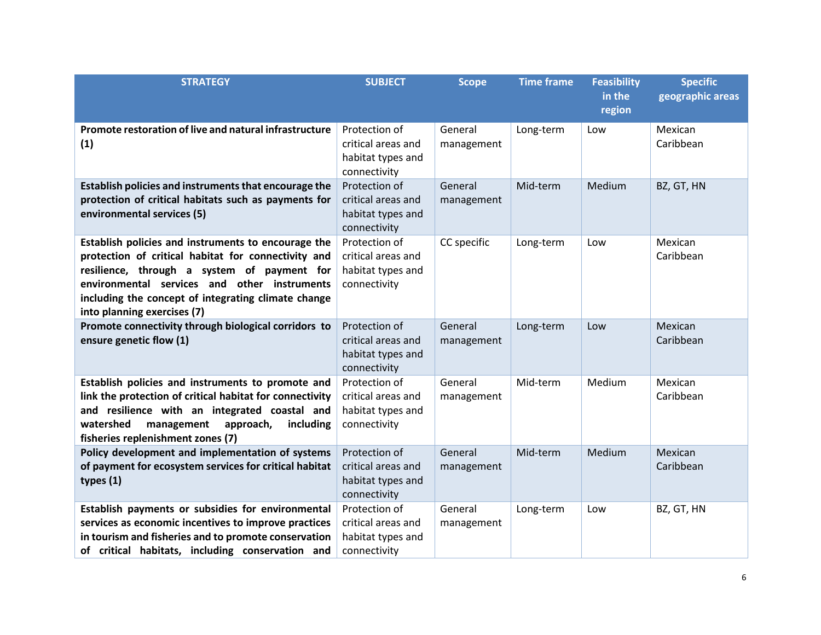| <b>STRATEGY</b>                                                                                                                                                                                                                                                                                 | <b>SUBJECT</b>                                                           | <b>Scope</b>          | <b>Time frame</b> | <b>Feasibility</b><br>in the<br>region | <b>Specific</b><br>geographic areas |
|-------------------------------------------------------------------------------------------------------------------------------------------------------------------------------------------------------------------------------------------------------------------------------------------------|--------------------------------------------------------------------------|-----------------------|-------------------|----------------------------------------|-------------------------------------|
| Promote restoration of live and natural infrastructure<br>(1)                                                                                                                                                                                                                                   | Protection of<br>critical areas and<br>habitat types and<br>connectivity | General<br>management | Long-term         | Low                                    | Mexican<br>Caribbean                |
| Establish policies and instruments that encourage the<br>protection of critical habitats such as payments for<br>environmental services (5)                                                                                                                                                     | Protection of<br>critical areas and<br>habitat types and<br>connectivity | General<br>management | Mid-term          | Medium                                 | BZ, GT, HN                          |
| Establish policies and instruments to encourage the<br>protection of critical habitat for connectivity and<br>resilience, through a system of payment for<br>environmental services and other instruments<br>including the concept of integrating climate change<br>into planning exercises (7) | Protection of<br>critical areas and<br>habitat types and<br>connectivity | CC specific           | Long-term         | Low                                    | Mexican<br>Caribbean                |
| Promote connectivity through biological corridors to<br>ensure genetic flow (1)                                                                                                                                                                                                                 | Protection of<br>critical areas and<br>habitat types and<br>connectivity | General<br>management | Long-term         | Low                                    | Mexican<br>Caribbean                |
| Establish policies and instruments to promote and<br>link the protection of critical habitat for connectivity<br>and resilience with an integrated coastal and<br>watershed<br>management<br>approach,<br>including<br>fisheries replenishment zones (7)                                        | Protection of<br>critical areas and<br>habitat types and<br>connectivity | General<br>management | Mid-term          | Medium                                 | Mexican<br>Caribbean                |
| Policy development and implementation of systems<br>of payment for ecosystem services for critical habitat<br>types $(1)$                                                                                                                                                                       | Protection of<br>critical areas and<br>habitat types and<br>connectivity | General<br>management | Mid-term          | Medium                                 | Mexican<br>Caribbean                |
| Establish payments or subsidies for environmental<br>services as economic incentives to improve practices<br>in tourism and fisheries and to promote conservation<br>of critical habitats, including conservation and                                                                           | Protection of<br>critical areas and<br>habitat types and<br>connectivity | General<br>management | Long-term         | Low                                    | BZ, GT, HN                          |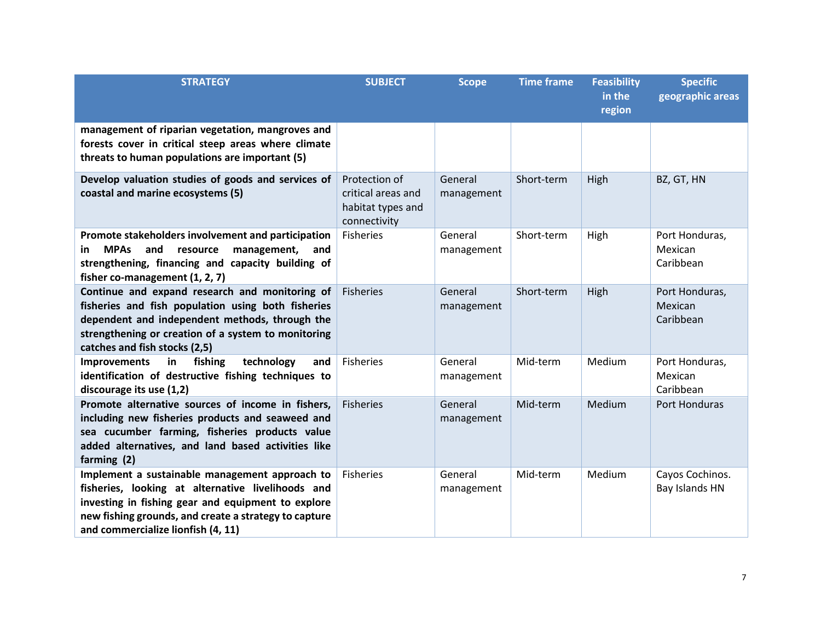| <b>STRATEGY</b>                                                                                                                                                                                                                                          | <b>SUBJECT</b>                                                           | <b>Scope</b>          | <b>Time frame</b> | <b>Feasibility</b><br>in the<br>region | <b>Specific</b><br>geographic areas    |
|----------------------------------------------------------------------------------------------------------------------------------------------------------------------------------------------------------------------------------------------------------|--------------------------------------------------------------------------|-----------------------|-------------------|----------------------------------------|----------------------------------------|
| management of riparian vegetation, mangroves and<br>forests cover in critical steep areas where climate<br>threats to human populations are important (5)                                                                                                |                                                                          |                       |                   |                                        |                                        |
| Develop valuation studies of goods and services of<br>coastal and marine ecosystems (5)                                                                                                                                                                  | Protection of<br>critical areas and<br>habitat types and<br>connectivity | General<br>management | Short-term        | High                                   | BZ, GT, HN                             |
| Promote stakeholders involvement and participation<br><b>MPAs</b><br>and<br>resource<br>management,<br>in.<br>and<br>strengthening, financing and capacity building of<br>fisher co-management (1, 2, 7)                                                 | <b>Fisheries</b>                                                         | General<br>management | Short-term        | High                                   | Port Honduras,<br>Mexican<br>Caribbean |
| Continue and expand research and monitoring of<br>fisheries and fish population using both fisheries<br>dependent and independent methods, through the<br>strengthening or creation of a system to monitoring<br>catches and fish stocks (2,5)           | <b>Fisheries</b>                                                         | General<br>management | Short-term        | High                                   | Port Honduras,<br>Mexican<br>Caribbean |
| technology<br><b>Improvements</b><br>in<br>fishing<br>and<br>identification of destructive fishing techniques to<br>discourage its use (1,2)                                                                                                             | Fisheries                                                                | General<br>management | Mid-term          | Medium                                 | Port Honduras,<br>Mexican<br>Caribbean |
| Promote alternative sources of income in fishers,<br>including new fisheries products and seaweed and<br>sea cucumber farming, fisheries products value<br>added alternatives, and land based activities like<br>farming (2)                             | <b>Fisheries</b>                                                         | General<br>management | Mid-term          | Medium                                 | Port Honduras                          |
| Implement a sustainable management approach to<br>fisheries, looking at alternative livelihoods and<br>investing in fishing gear and equipment to explore<br>new fishing grounds, and create a strategy to capture<br>and commercialize lionfish (4, 11) | <b>Fisheries</b>                                                         | General<br>management | Mid-term          | Medium                                 | Cayos Cochinos.<br>Bay Islands HN      |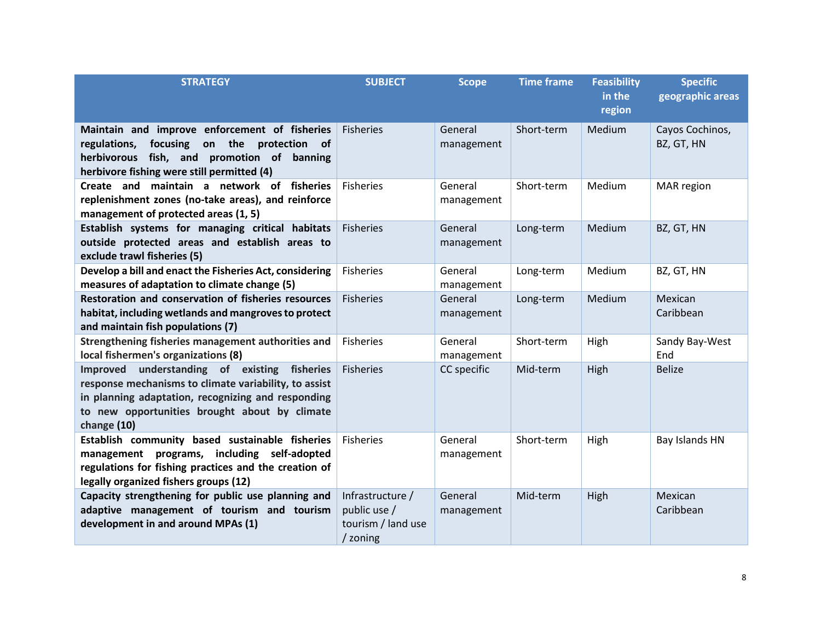| <b>STRATEGY</b>                                                                                                                                                                                                             | <b>SUBJECT</b>                                                     | <b>Scope</b>          | <b>Time frame</b> | <b>Feasibility</b><br>in the<br>region | <b>Specific</b><br>geographic areas |
|-----------------------------------------------------------------------------------------------------------------------------------------------------------------------------------------------------------------------------|--------------------------------------------------------------------|-----------------------|-------------------|----------------------------------------|-------------------------------------|
| Maintain and improve enforcement of fisheries<br>on the<br>regulations,<br>focusing<br>protection<br>of<br>herbivorous fish, and promotion of banning<br>herbivore fishing were still permitted (4)                         | <b>Fisheries</b>                                                   | General<br>management | Short-term        | Medium                                 | Cayos Cochinos,<br>BZ, GT, HN       |
| Create and<br>maintain a network of fisheries<br>replenishment zones (no-take areas), and reinforce<br>management of protected areas (1, 5)                                                                                 | <b>Fisheries</b>                                                   | General<br>management | Short-term        | Medium                                 | MAR region                          |
| Establish systems for managing critical habitats<br>outside protected areas and establish areas to<br>exclude trawl fisheries (5)                                                                                           | <b>Fisheries</b>                                                   | General<br>management | Long-term         | Medium                                 | BZ, GT, HN                          |
| Develop a bill and enact the Fisheries Act, considering<br>measures of adaptation to climate change (5)                                                                                                                     | <b>Fisheries</b>                                                   | General<br>management | Long-term         | Medium                                 | BZ, GT, HN                          |
| Restoration and conservation of fisheries resources<br>habitat, including wetlands and mangroves to protect<br>and maintain fish populations (7)                                                                            | <b>Fisheries</b>                                                   | General<br>management | Long-term         | Medium                                 | Mexican<br>Caribbean                |
| Strengthening fisheries management authorities and<br>local fishermen's organizations (8)                                                                                                                                   | <b>Fisheries</b>                                                   | General<br>management | Short-term        | High                                   | Sandy Bay-West<br>End               |
| Improved understanding of existing fisheries<br>response mechanisms to climate variability, to assist<br>in planning adaptation, recognizing and responding<br>to new opportunities brought about by climate<br>change (10) | <b>Fisheries</b>                                                   | CC specific           | Mid-term          | High                                   | <b>Belize</b>                       |
| Establish community based sustainable fisheries<br>management programs, including self-adopted<br>regulations for fishing practices and the creation of<br>legally organized fishers groups (12)                            | <b>Fisheries</b>                                                   | General<br>management | Short-term        | High                                   | Bay Islands HN                      |
| Capacity strengthening for public use planning and<br>adaptive management of tourism and tourism<br>development in and around MPAs (1)                                                                                      | Infrastructure /<br>public use /<br>tourism / land use<br>/ zoning | General<br>management | Mid-term          | High                                   | Mexican<br>Caribbean                |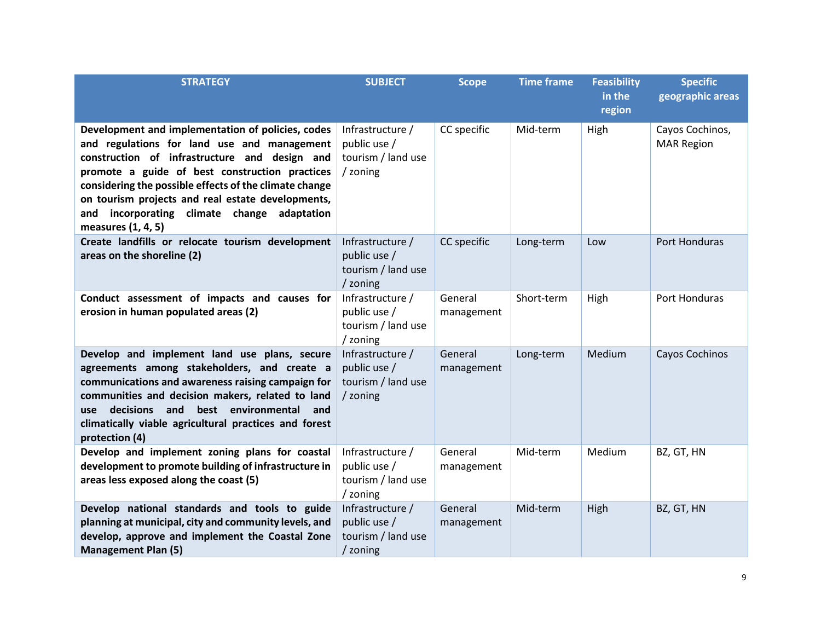| <b>STRATEGY</b>                                                                                                                                                                                                                                                                                                                                                                            | <b>SUBJECT</b>                                                     | <b>Scope</b>          | <b>Time frame</b> | <b>Feasibility</b><br>in the<br>region | <b>Specific</b><br>geographic areas  |
|--------------------------------------------------------------------------------------------------------------------------------------------------------------------------------------------------------------------------------------------------------------------------------------------------------------------------------------------------------------------------------------------|--------------------------------------------------------------------|-----------------------|-------------------|----------------------------------------|--------------------------------------|
| Development and implementation of policies, codes<br>and regulations for land use and management<br>construction of infrastructure and design and<br>promote a guide of best construction practices<br>considering the possible effects of the climate change<br>on tourism projects and real estate developments,<br>incorporating climate change adaptation<br>and<br>measures (1, 4, 5) | Infrastructure /<br>public use /<br>tourism / land use<br>/ zoning | CC specific           | Mid-term          | High                                   | Cayos Cochinos,<br><b>MAR Region</b> |
| Create landfills or relocate tourism development<br>areas on the shoreline (2)                                                                                                                                                                                                                                                                                                             | Infrastructure /<br>public use /<br>tourism / land use<br>/ zoning | CC specific           | Long-term         | Low                                    | Port Honduras                        |
| Conduct assessment of impacts and causes for<br>erosion in human populated areas (2)                                                                                                                                                                                                                                                                                                       | Infrastructure /<br>public use /<br>tourism / land use<br>/ zoning | General<br>management | Short-term        | High                                   | Port Honduras                        |
| Develop and implement land use plans, secure<br>agreements among stakeholders, and create a<br>communications and awareness raising campaign for<br>communities and decision makers, related to land<br>decisions and<br>best environmental<br>and<br>use<br>climatically viable agricultural practices and forest<br>protection (4)                                                       | Infrastructure /<br>public use /<br>tourism / land use<br>/ zoning | General<br>management | Long-term         | Medium                                 | Cayos Cochinos                       |
| Develop and implement zoning plans for coastal<br>development to promote building of infrastructure in<br>areas less exposed along the coast (5)                                                                                                                                                                                                                                           | Infrastructure /<br>public use /<br>tourism / land use<br>/ zoning | General<br>management | Mid-term          | Medium                                 | BZ, GT, HN                           |
| Develop national standards and tools to guide<br>planning at municipal, city and community levels, and<br>develop, approve and implement the Coastal Zone<br><b>Management Plan (5)</b>                                                                                                                                                                                                    | Infrastructure /<br>public use /<br>tourism / land use<br>/ zoning | General<br>management | Mid-term          | High                                   | BZ, GT, HN                           |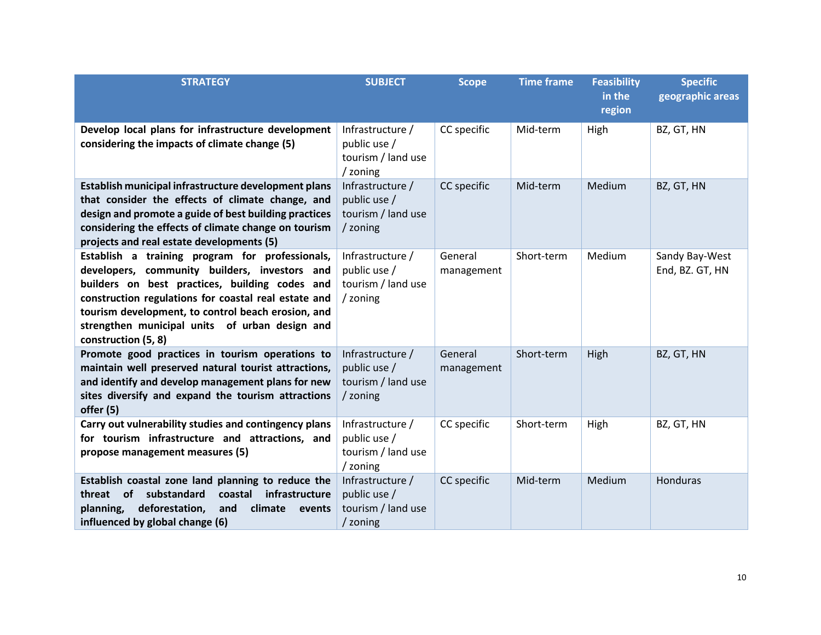| <b>STRATEGY</b>                                                                                                                                                                                                                                                                                                                           | <b>SUBJECT</b>                                                     | <b>Scope</b>          | <b>Time frame</b> | <b>Feasibility</b><br>in the<br>region | <b>Specific</b><br>geographic areas |
|-------------------------------------------------------------------------------------------------------------------------------------------------------------------------------------------------------------------------------------------------------------------------------------------------------------------------------------------|--------------------------------------------------------------------|-----------------------|-------------------|----------------------------------------|-------------------------------------|
| Develop local plans for infrastructure development<br>considering the impacts of climate change (5)                                                                                                                                                                                                                                       | Infrastructure /<br>public use /<br>tourism / land use<br>/ zoning | CC specific           | Mid-term          | High                                   | BZ, GT, HN                          |
| Establish municipal infrastructure development plans<br>that consider the effects of climate change, and<br>design and promote a guide of best building practices<br>considering the effects of climate change on tourism<br>projects and real estate developments (5)                                                                    | Infrastructure /<br>public use /<br>tourism / land use<br>/ zoning | CC specific           | Mid-term          | Medium                                 | BZ, GT, HN                          |
| Establish a training program for professionals,<br>developers, community builders, investors and<br>builders on best practices, building codes and<br>construction regulations for coastal real estate and<br>tourism development, to control beach erosion, and<br>strengthen municipal units of urban design and<br>construction (5, 8) | Infrastructure /<br>public use /<br>tourism / land use<br>/ zoning | General<br>management | Short-term        | Medium                                 | Sandy Bay-West<br>End, BZ. GT, HN   |
| Promote good practices in tourism operations to<br>maintain well preserved natural tourist attractions,<br>and identify and develop management plans for new<br>sites diversify and expand the tourism attractions<br>offer (5)                                                                                                           | Infrastructure /<br>public use /<br>tourism / land use<br>/ zoning | General<br>management | Short-term        | High                                   | BZ, GT, HN                          |
| Carry out vulnerability studies and contingency plans<br>for tourism infrastructure and attractions, and<br>propose management measures (5)                                                                                                                                                                                               | Infrastructure /<br>public use /<br>tourism / land use<br>/ zoning | CC specific           | Short-term        | High                                   | BZ, GT, HN                          |
| Establish coastal zone land planning to reduce the<br><b>of</b><br>substandard<br>coastal<br>infrastructure<br>threat<br>deforestation,<br>planning,<br>climate<br>and<br>events<br>influenced by global change (6)                                                                                                                       | Infrastructure /<br>public use /<br>tourism / land use<br>/ zoning | CC specific           | Mid-term          | Medium                                 | Honduras                            |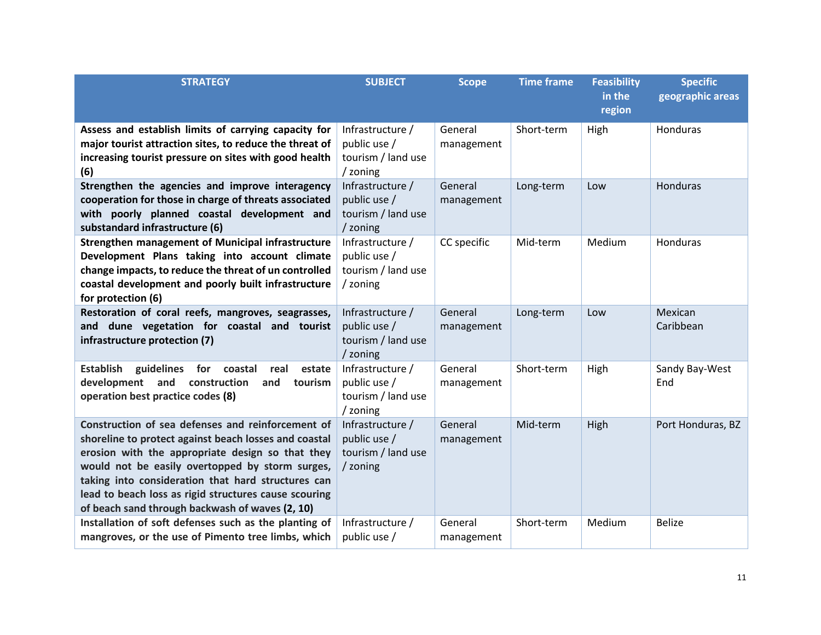| <b>STRATEGY</b>                                                                                            | <b>SUBJECT</b>                   | <b>Scope</b> | <b>Time frame</b> | <b>Feasibility</b><br>in the | <b>Specific</b><br>geographic areas |
|------------------------------------------------------------------------------------------------------------|----------------------------------|--------------|-------------------|------------------------------|-------------------------------------|
|                                                                                                            |                                  |              |                   | region                       |                                     |
| Assess and establish limits of carrying capacity for                                                       | Infrastructure /                 | General      | Short-term        | High                         | Honduras                            |
| major tourist attraction sites, to reduce the threat of                                                    | public use /                     | management   |                   |                              |                                     |
| increasing tourist pressure on sites with good health                                                      | tourism / land use               |              |                   |                              |                                     |
| (6)                                                                                                        | / zoning                         |              |                   |                              |                                     |
| Strengthen the agencies and improve interagency                                                            | Infrastructure /                 | General      | Long-term         | Low                          | Honduras                            |
| cooperation for those in charge of threats associated                                                      | public use /                     | management   |                   |                              |                                     |
| with poorly planned coastal development and                                                                | tourism / land use               |              |                   |                              |                                     |
| substandard infrastructure (6)                                                                             | / zoning                         |              |                   |                              |                                     |
| Strengthen management of Municipal infrastructure                                                          | Infrastructure /                 | CC specific  | Mid-term          | Medium                       | <b>Honduras</b>                     |
| Development Plans taking into account climate                                                              | public use /                     |              |                   |                              |                                     |
| change impacts, to reduce the threat of un controlled                                                      | tourism / land use               |              |                   |                              |                                     |
| coastal development and poorly built infrastructure                                                        | / zoning                         |              |                   |                              |                                     |
| for protection (6)                                                                                         |                                  |              |                   |                              |                                     |
| Restoration of coral reefs, mangroves, seagrasses,                                                         | Infrastructure /                 | General      | Long-term         | Low                          | Mexican                             |
| and dune vegetation for coastal and tourist                                                                | public use /                     | management   |                   |                              | Caribbean                           |
| infrastructure protection (7)                                                                              | tourism / land use               |              |                   |                              |                                     |
|                                                                                                            | / zoning                         |              |                   |                              |                                     |
| Establish guidelines for<br>coastal<br>real<br>estate<br>development and<br>construction<br>and<br>tourism | Infrastructure /<br>public use / | General      | Short-term        | High                         | Sandy Bay-West<br>End               |
| operation best practice codes (8)                                                                          | tourism / land use               | management   |                   |                              |                                     |
|                                                                                                            | / zoning                         |              |                   |                              |                                     |
| Construction of sea defenses and reinforcement of                                                          | Infrastructure /                 | General      | Mid-term          | High                         | Port Honduras, BZ                   |
| shoreline to protect against beach losses and coastal                                                      | public use /                     | management   |                   |                              |                                     |
| erosion with the appropriate design so that they                                                           | tourism / land use               |              |                   |                              |                                     |
| would not be easily overtopped by storm surges,                                                            | / zoning                         |              |                   |                              |                                     |
| taking into consideration that hard structures can                                                         |                                  |              |                   |                              |                                     |
| lead to beach loss as rigid structures cause scouring                                                      |                                  |              |                   |                              |                                     |
| of beach sand through backwash of waves (2, 10)                                                            |                                  |              |                   |                              |                                     |
| Installation of soft defenses such as the planting of                                                      | Infrastructure /                 | General      | Short-term        | Medium                       | <b>Belize</b>                       |
| mangroves, or the use of Pimento tree limbs, which                                                         | public use /                     | management   |                   |                              |                                     |
|                                                                                                            |                                  |              |                   |                              |                                     |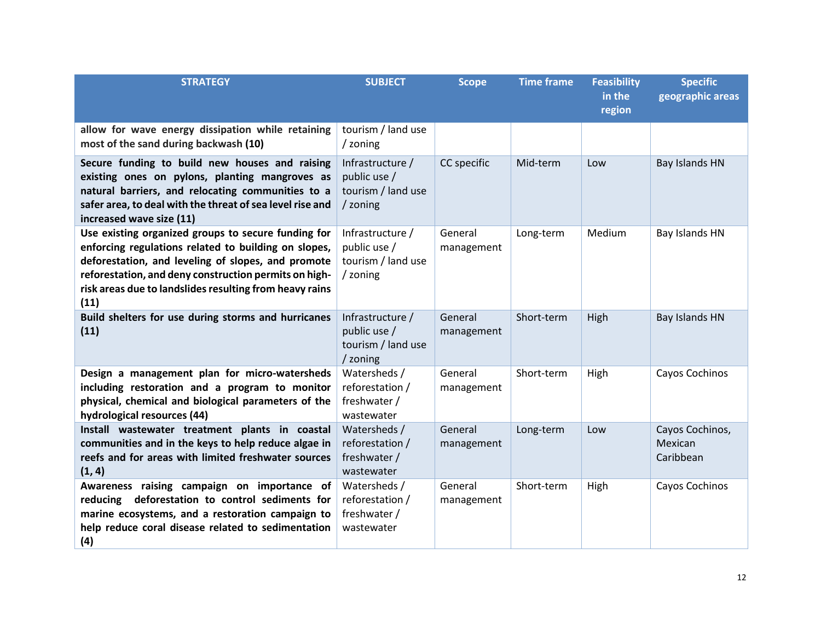| <b>STRATEGY</b>                                                                                                                                                                                                                                                                               | <b>SUBJECT</b>                                                     | <b>Scope</b>          | <b>Time frame</b> | <b>Feasibility</b><br>in the<br>region | <b>Specific</b><br>geographic areas     |
|-----------------------------------------------------------------------------------------------------------------------------------------------------------------------------------------------------------------------------------------------------------------------------------------------|--------------------------------------------------------------------|-----------------------|-------------------|----------------------------------------|-----------------------------------------|
| allow for wave energy dissipation while retaining<br>most of the sand during backwash (10)                                                                                                                                                                                                    | tourism / land use<br>/ zoning                                     |                       |                   |                                        |                                         |
| Secure funding to build new houses and raising<br>existing ones on pylons, planting mangroves as<br>natural barriers, and relocating communities to a<br>safer area, to deal with the threat of sea level rise and<br>increased wave size (11)                                                | Infrastructure /<br>public use /<br>tourism / land use<br>/ zoning | CC specific           | Mid-term          | Low                                    | Bay Islands HN                          |
| Use existing organized groups to secure funding for<br>enforcing regulations related to building on slopes,<br>deforestation, and leveling of slopes, and promote<br>reforestation, and deny construction permits on high-<br>risk areas due to landslides resulting from heavy rains<br>(11) | Infrastructure /<br>public use /<br>tourism / land use<br>/ zoning | General<br>management | Long-term         | Medium                                 | Bay Islands HN                          |
| Build shelters for use during storms and hurricanes<br>(11)                                                                                                                                                                                                                                   | Infrastructure /<br>public use /<br>tourism / land use<br>/ zoning | General<br>management | Short-term        | High                                   | Bay Islands HN                          |
| Design a management plan for micro-watersheds<br>including restoration and a program to monitor<br>physical, chemical and biological parameters of the<br>hydrological resources (44)                                                                                                         | Watersheds /<br>reforestation /<br>freshwater /<br>wastewater      | General<br>management | Short-term        | High                                   | Cayos Cochinos                          |
| Install wastewater treatment plants in coastal<br>communities and in the keys to help reduce algae in<br>reefs and for areas with limited freshwater sources<br>(1, 4)                                                                                                                        | Watersheds /<br>reforestation /<br>freshwater /<br>wastewater      | General<br>management | Long-term         | Low                                    | Cayos Cochinos,<br>Mexican<br>Caribbean |
| Awareness raising campaign on importance of<br>deforestation to control sediments for<br>reducing<br>marine ecosystems, and a restoration campaign to<br>help reduce coral disease related to sedimentation<br>(4)                                                                            | Watersheds /<br>reforestation /<br>freshwater /<br>wastewater      | General<br>management | Short-term        | High                                   | Cayos Cochinos                          |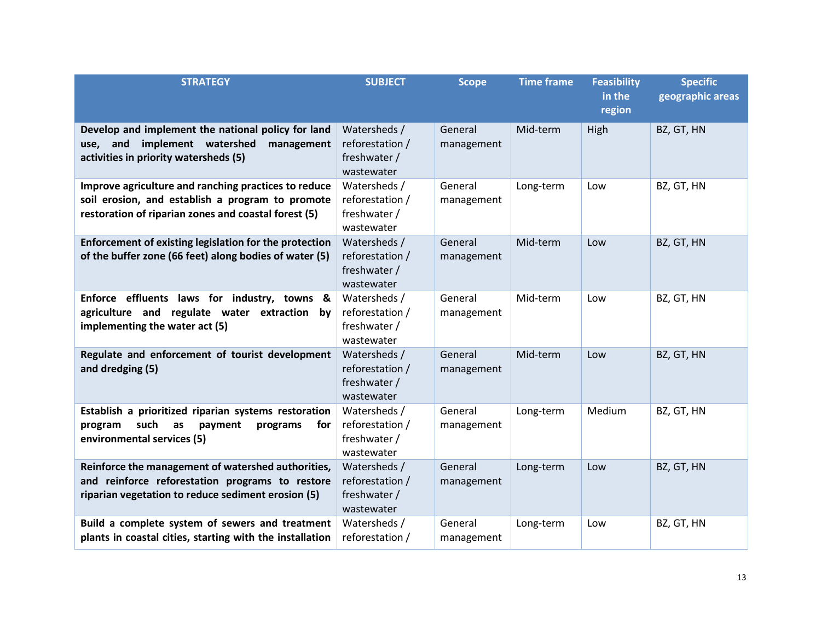| <b>STRATEGY</b>                                                                                                                                                  | <b>SUBJECT</b>                                                | <b>Scope</b>          | <b>Time frame</b> | <b>Feasibility</b><br>in the<br>region | <b>Specific</b><br>geographic areas |
|------------------------------------------------------------------------------------------------------------------------------------------------------------------|---------------------------------------------------------------|-----------------------|-------------------|----------------------------------------|-------------------------------------|
| Develop and implement the national policy for land<br>use, and implement watershed<br>management<br>activities in priority watersheds (5)                        | Watersheds /<br>reforestation /<br>freshwater /<br>wastewater | General<br>management | Mid-term          | High                                   | BZ, GT, HN                          |
| Improve agriculture and ranching practices to reduce<br>soil erosion, and establish a program to promote<br>restoration of riparian zones and coastal forest (5) | Watersheds /<br>reforestation /<br>freshwater /<br>wastewater | General<br>management | Long-term         | Low                                    | BZ, GT, HN                          |
| Enforcement of existing legislation for the protection<br>of the buffer zone (66 feet) along bodies of water (5)                                                 | Watersheds /<br>reforestation /<br>freshwater /<br>wastewater | General<br>management | Mid-term          | Low                                    | BZ, GT, HN                          |
| Enforce effluents laws for industry, towns &<br>agriculture and regulate water extraction by<br>implementing the water act (5)                                   | Watersheds /<br>reforestation /<br>freshwater /<br>wastewater | General<br>management | Mid-term          | Low                                    | BZ, GT, HN                          |
| Regulate and enforcement of tourist development<br>and dredging (5)                                                                                              | Watersheds /<br>reforestation /<br>freshwater /<br>wastewater | General<br>management | Mid-term          | Low                                    | BZ, GT, HN                          |
| Establish a prioritized riparian systems restoration<br>such<br>program<br>as<br>payment<br>programs<br>for<br>environmental services (5)                        | Watersheds /<br>reforestation /<br>freshwater /<br>wastewater | General<br>management | Long-term         | Medium                                 | BZ, GT, HN                          |
| Reinforce the management of watershed authorities,<br>and reinforce reforestation programs to restore<br>riparian vegetation to reduce sediment erosion (5)      | Watersheds /<br>reforestation /<br>freshwater /<br>wastewater | General<br>management | Long-term         | Low                                    | BZ, GT, HN                          |
| Build a complete system of sewers and treatment<br>plants in coastal cities, starting with the installation                                                      | Watersheds /<br>reforestation /                               | General<br>management | Long-term         | Low                                    | BZ, GT, HN                          |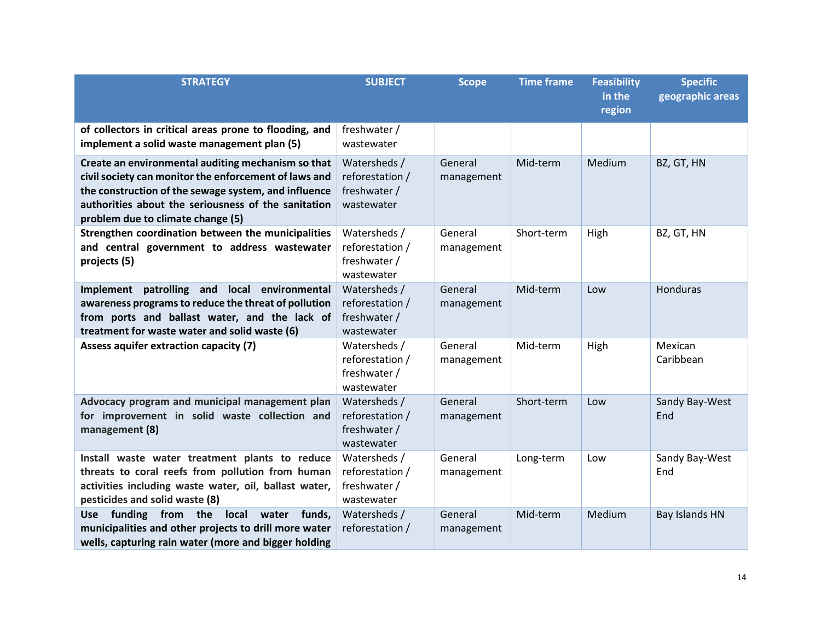| <b>STRATEGY</b>                                                                                                                                                                                                                                                 | <b>SUBJECT</b>                                                | <b>Scope</b>          | <b>Time frame</b> | <b>Feasibility</b><br>in the<br>region | <b>Specific</b><br>geographic areas |
|-----------------------------------------------------------------------------------------------------------------------------------------------------------------------------------------------------------------------------------------------------------------|---------------------------------------------------------------|-----------------------|-------------------|----------------------------------------|-------------------------------------|
| of collectors in critical areas prone to flooding, and<br>implement a solid waste management plan (5)                                                                                                                                                           | freshwater /<br>wastewater                                    |                       |                   |                                        |                                     |
| Create an environmental auditing mechanism so that<br>civil society can monitor the enforcement of laws and<br>the construction of the sewage system, and influence<br>authorities about the seriousness of the sanitation<br>problem due to climate change (5) | Watersheds /<br>reforestation /<br>freshwater /<br>wastewater | General<br>management | Mid-term          | Medium                                 | BZ, GT, HN                          |
| Strengthen coordination between the municipalities<br>and central government to address wastewater<br>projects (5)                                                                                                                                              | Watersheds /<br>reforestation /<br>freshwater /<br>wastewater | General<br>management | Short-term        | High                                   | BZ, GT, HN                          |
| Implement patrolling and local environmental<br>awareness programs to reduce the threat of pollution<br>from ports and ballast water, and the lack of<br>treatment for waste water and solid waste (6)                                                          | Watersheds /<br>reforestation /<br>freshwater /<br>wastewater | General<br>management | Mid-term          | Low                                    | Honduras                            |
| Assess aquifer extraction capacity (7)                                                                                                                                                                                                                          | Watersheds /<br>reforestation /<br>freshwater /<br>wastewater | General<br>management | Mid-term          | High                                   | Mexican<br>Caribbean                |
| Advocacy program and municipal management plan<br>for improvement in solid waste collection and<br>management (8)                                                                                                                                               | Watersheds /<br>reforestation /<br>freshwater /<br>wastewater | General<br>management | Short-term        | Low                                    | Sandy Bay-West<br>End               |
| Install waste water treatment plants to reduce<br>threats to coral reefs from pollution from human<br>activities including waste water, oil, ballast water,<br>pesticides and solid waste (8)                                                                   | Watersheds /<br>reforestation /<br>freshwater /<br>wastewater | General<br>management | Long-term         | Low                                    | Sandy Bay-West<br>End               |
| funding from the local water<br>funds,<br><b>Use</b><br>municipalities and other projects to drill more water<br>wells, capturing rain water (more and bigger holding                                                                                           | Watersheds /<br>reforestation /                               | General<br>management | Mid-term          | Medium                                 | Bay Islands HN                      |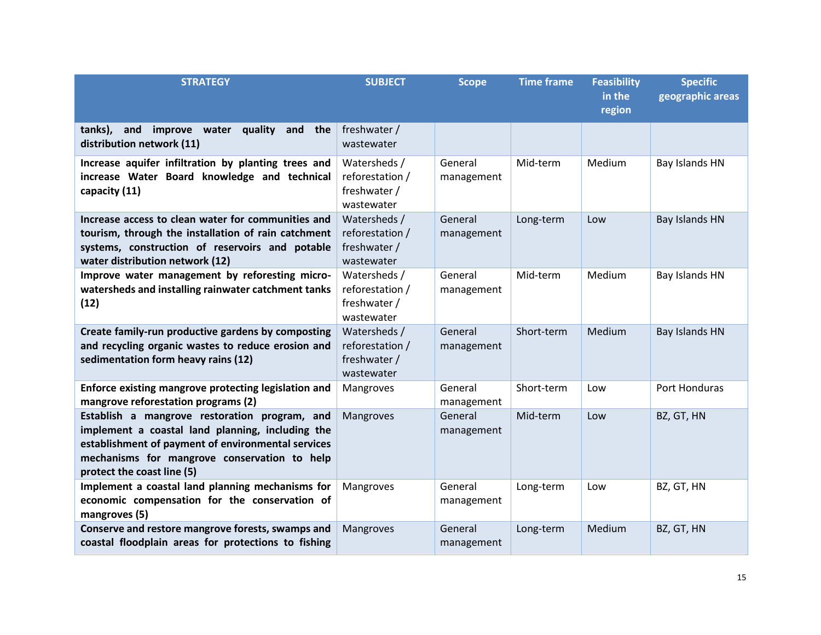| <b>STRATEGY</b>                                                                                                                                                                                                                       | <b>SUBJECT</b>                                                | <b>Scope</b>          | <b>Time frame</b> | <b>Feasibility</b><br>in the<br>region | <b>Specific</b><br>geographic areas |
|---------------------------------------------------------------------------------------------------------------------------------------------------------------------------------------------------------------------------------------|---------------------------------------------------------------|-----------------------|-------------------|----------------------------------------|-------------------------------------|
| tanks), and<br>improve water quality and the<br>distribution network (11)                                                                                                                                                             | freshwater /<br>wastewater                                    |                       |                   |                                        |                                     |
| Increase aquifer infiltration by planting trees and<br>increase Water Board knowledge and technical<br>capacity (11)                                                                                                                  | Watersheds /<br>reforestation /<br>freshwater /<br>wastewater | General<br>management | Mid-term          | Medium                                 | Bay Islands HN                      |
| Increase access to clean water for communities and<br>tourism, through the installation of rain catchment<br>systems, construction of reservoirs and potable<br>water distribution network (12)                                       | Watersheds /<br>reforestation /<br>freshwater /<br>wastewater | General<br>management | Long-term         | Low                                    | Bay Islands HN                      |
| Improve water management by reforesting micro-<br>watersheds and installing rainwater catchment tanks<br>(12)                                                                                                                         | Watersheds /<br>reforestation /<br>freshwater /<br>wastewater | General<br>management | Mid-term          | Medium                                 | Bay Islands HN                      |
| Create family-run productive gardens by composting<br>and recycling organic wastes to reduce erosion and<br>sedimentation form heavy rains (12)                                                                                       | Watersheds /<br>reforestation /<br>freshwater /<br>wastewater | General<br>management | Short-term        | Medium                                 | Bay Islands HN                      |
| Enforce existing mangrove protecting legislation and<br>mangrove reforestation programs (2)                                                                                                                                           | Mangroves                                                     | General<br>management | Short-term        | Low                                    | Port Honduras                       |
| Establish a mangrove restoration program, and<br>implement a coastal land planning, including the<br>establishment of payment of environmental services<br>mechanisms for mangrove conservation to help<br>protect the coast line (5) | Mangroves                                                     | General<br>management | Mid-term          | Low                                    | BZ, GT, HN                          |
| Implement a coastal land planning mechanisms for<br>economic compensation for the conservation of<br>mangroves (5)                                                                                                                    | Mangroves                                                     | General<br>management | Long-term         | Low                                    | BZ, GT, HN                          |
| Conserve and restore mangrove forests, swamps and<br>coastal floodplain areas for protections to fishing                                                                                                                              | Mangroves                                                     | General<br>management | Long-term         | Medium                                 | BZ, GT, HN                          |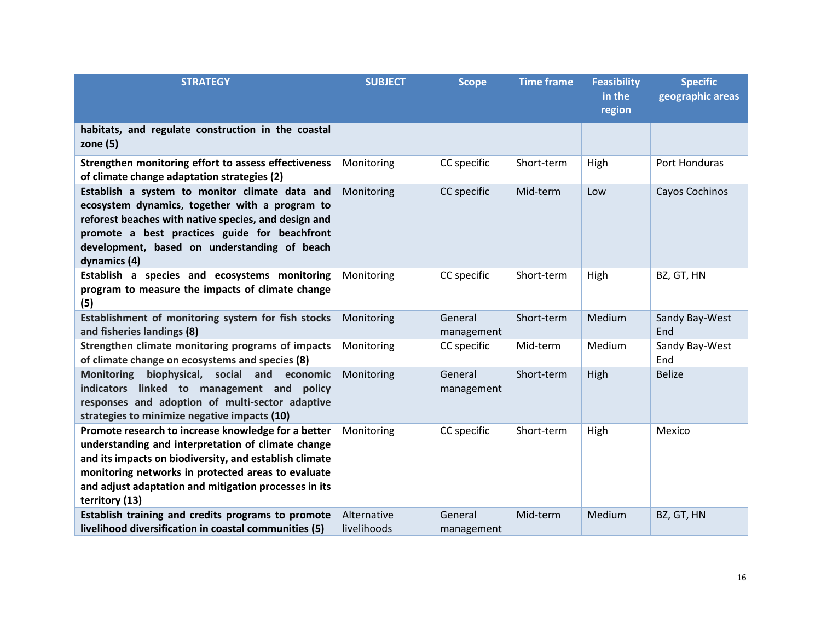| <b>STRATEGY</b>                                                                                                                                                                                                                                                                                      | <b>SUBJECT</b>             | <b>Scope</b>          | <b>Time frame</b> | <b>Feasibility</b><br>in the<br>region | <b>Specific</b><br>geographic areas |
|------------------------------------------------------------------------------------------------------------------------------------------------------------------------------------------------------------------------------------------------------------------------------------------------------|----------------------------|-----------------------|-------------------|----------------------------------------|-------------------------------------|
| habitats, and regulate construction in the coastal<br>zone $(5)$                                                                                                                                                                                                                                     |                            |                       |                   |                                        |                                     |
| Strengthen monitoring effort to assess effectiveness<br>of climate change adaptation strategies (2)                                                                                                                                                                                                  | Monitoring                 | CC specific           | Short-term        | High                                   | Port Honduras                       |
| Establish a system to monitor climate data and<br>ecosystem dynamics, together with a program to<br>reforest beaches with native species, and design and<br>promote a best practices guide for beachfront<br>development, based on understanding of beach<br>dynamics (4)                            | Monitoring                 | CC specific           | Mid-term          | Low                                    | Cayos Cochinos                      |
| Establish a species and ecosystems monitoring<br>program to measure the impacts of climate change<br>(5)                                                                                                                                                                                             | Monitoring                 | CC specific           | Short-term        | High                                   | BZ, GT, HN                          |
| Establishment of monitoring system for fish stocks<br>and fisheries landings (8)                                                                                                                                                                                                                     | Monitoring                 | General<br>management | Short-term        | Medium                                 | Sandy Bay-West<br>End               |
| Strengthen climate monitoring programs of impacts<br>of climate change on ecosystems and species (8)                                                                                                                                                                                                 | Monitoring                 | CC specific           | Mid-term          | Medium                                 | Sandy Bay-West<br>End               |
| <b>Monitoring</b><br>biophysical, social and economic<br>indicators linked to management and policy<br>responses and adoption of multi-sector adaptive<br>strategies to minimize negative impacts (10)                                                                                               | Monitoring                 | General<br>management | Short-term        | High                                   | <b>Belize</b>                       |
| Promote research to increase knowledge for a better<br>understanding and interpretation of climate change<br>and its impacts on biodiversity, and establish climate<br>monitoring networks in protected areas to evaluate<br>and adjust adaptation and mitigation processes in its<br>territory (13) | Monitoring                 | CC specific           | Short-term        | High                                   | Mexico                              |
| Establish training and credits programs to promote<br>livelihood diversification in coastal communities (5)                                                                                                                                                                                          | Alternative<br>livelihoods | General<br>management | Mid-term          | Medium                                 | BZ, GT, HN                          |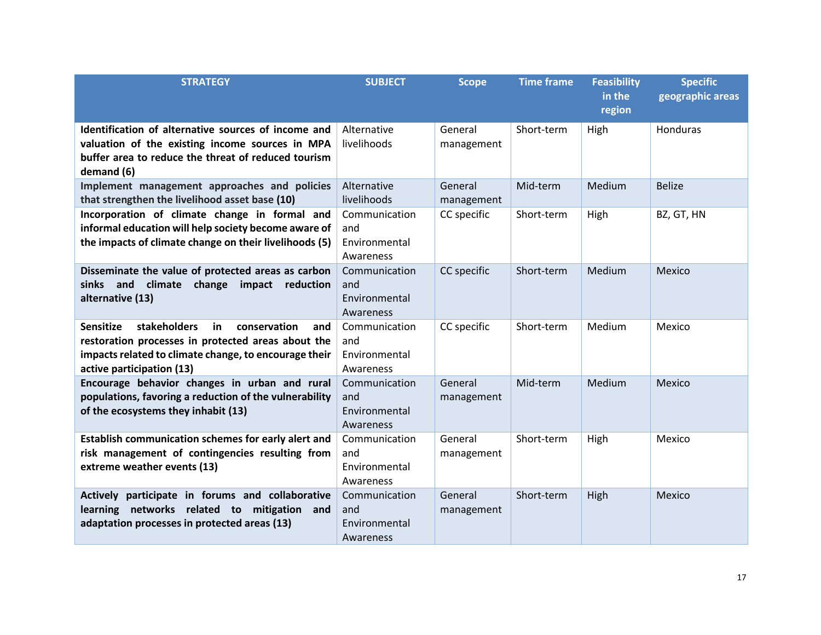| <b>STRATEGY</b>                                                                                                                                                                                           | <b>SUBJECT</b>                                     | <b>Scope</b>          | <b>Time frame</b> | <b>Feasibility</b><br>in the<br>region | <b>Specific</b><br>geographic areas |
|-----------------------------------------------------------------------------------------------------------------------------------------------------------------------------------------------------------|----------------------------------------------------|-----------------------|-------------------|----------------------------------------|-------------------------------------|
| Identification of alternative sources of income and<br>valuation of the existing income sources in MPA<br>buffer area to reduce the threat of reduced tourism<br>demand (6)                               | Alternative<br>livelihoods                         | General<br>management | Short-term        | High                                   | Honduras                            |
| Implement management approaches and policies<br>that strengthen the livelihood asset base (10)                                                                                                            | Alternative<br>livelihoods                         | General<br>management | Mid-term          | Medium                                 | <b>Belize</b>                       |
| Incorporation of climate change in formal and<br>informal education will help society become aware of<br>the impacts of climate change on their livelihoods (5)                                           | Communication<br>and<br>Environmental<br>Awareness | CC specific           | Short-term        | High                                   | BZ, GT, HN                          |
| Disseminate the value of protected areas as carbon<br>climate change impact reduction<br>sinks<br>and<br>alternative (13)                                                                                 | Communication<br>and<br>Environmental<br>Awareness | CC specific           | Short-term        | Medium                                 | Mexico                              |
| stakeholders<br><b>Sensitize</b><br>in<br>conservation<br>and<br>restoration processes in protected areas about the<br>impacts related to climate change, to encourage their<br>active participation (13) | Communication<br>and<br>Environmental<br>Awareness | CC specific           | Short-term        | Medium                                 | Mexico                              |
| Encourage behavior changes in urban and rural<br>populations, favoring a reduction of the vulnerability<br>of the ecosystems they inhabit (13)                                                            | Communication<br>and<br>Environmental<br>Awareness | General<br>management | Mid-term          | Medium                                 | Mexico                              |
| Establish communication schemes for early alert and<br>risk management of contingencies resulting from<br>extreme weather events (13)                                                                     | Communication<br>and<br>Environmental<br>Awareness | General<br>management | Short-term        | High                                   | Mexico                              |
| Actively participate in forums and collaborative<br>learning networks related to mitigation<br>and<br>adaptation processes in protected areas (13)                                                        | Communication<br>and<br>Environmental<br>Awareness | General<br>management | Short-term        | High                                   | Mexico                              |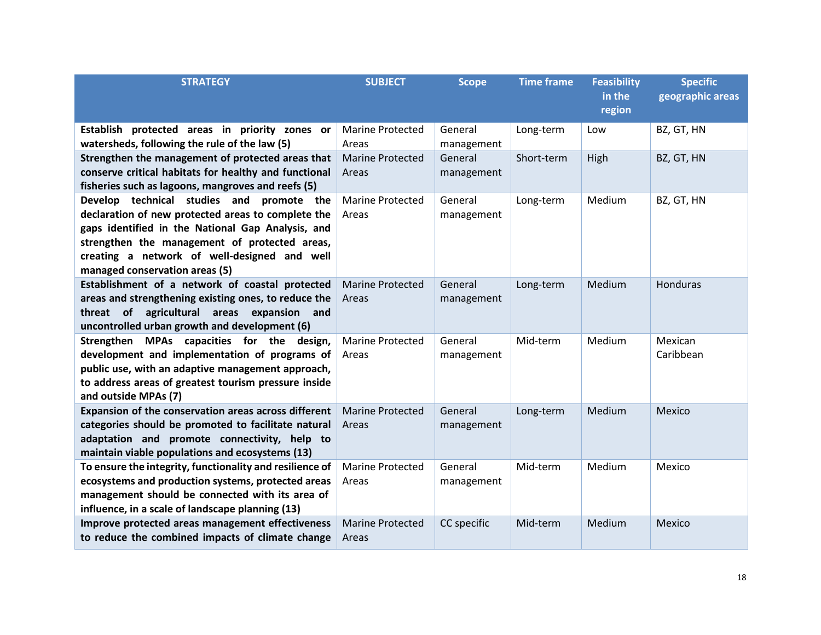| <b>STRATEGY</b>                                          | <b>SUBJECT</b>          | <b>Scope</b> | <b>Time frame</b> | <b>Feasibility</b><br>in the | <b>Specific</b><br>geographic areas |
|----------------------------------------------------------|-------------------------|--------------|-------------------|------------------------------|-------------------------------------|
|                                                          |                         |              |                   | region                       |                                     |
| Establish protected areas in priority zones or           | <b>Marine Protected</b> | General      | Long-term         | Low                          | BZ, GT, HN                          |
| watersheds, following the rule of the law (5)            | Areas                   | management   |                   |                              |                                     |
| Strengthen the management of protected areas that        | <b>Marine Protected</b> | General      | Short-term        | High                         | BZ, GT, HN                          |
| conserve critical habitats for healthy and functional    | Areas                   | management   |                   |                              |                                     |
| fisheries such as lagoons, mangroves and reefs (5)       |                         |              |                   |                              |                                     |
| Develop technical studies and promote the                | <b>Marine Protected</b> | General      | Long-term         | Medium                       | BZ, GT, HN                          |
| declaration of new protected areas to complete the       | Areas                   | management   |                   |                              |                                     |
| gaps identified in the National Gap Analysis, and        |                         |              |                   |                              |                                     |
| strengthen the management of protected areas,            |                         |              |                   |                              |                                     |
| creating a network of well-designed and well             |                         |              |                   |                              |                                     |
| managed conservation areas (5)                           |                         |              |                   |                              |                                     |
| Establishment of a network of coastal protected          | <b>Marine Protected</b> | General      | Long-term         | Medium                       | Honduras                            |
| areas and strengthening existing ones, to reduce the     | Areas                   | management   |                   |                              |                                     |
| threat of agricultural areas expansion and               |                         |              |                   |                              |                                     |
| uncontrolled urban growth and development (6)            |                         |              |                   |                              |                                     |
| Strengthen MPAs capacities for the design,               | <b>Marine Protected</b> | General      | Mid-term          | Medium                       | Mexican                             |
| development and implementation of programs of            | Areas                   | management   |                   |                              | Caribbean                           |
| public use, with an adaptive management approach,        |                         |              |                   |                              |                                     |
| to address areas of greatest tourism pressure inside     |                         |              |                   |                              |                                     |
| and outside MPAs (7)                                     |                         |              |                   |                              |                                     |
| Expansion of the conservation areas across different     | <b>Marine Protected</b> | General      | Long-term         | Medium                       | Mexico                              |
| categories should be promoted to facilitate natural      | Areas                   | management   |                   |                              |                                     |
| adaptation and promote connectivity, help to             |                         |              |                   |                              |                                     |
| maintain viable populations and ecosystems (13)          |                         |              |                   |                              |                                     |
| To ensure the integrity, functionality and resilience of | <b>Marine Protected</b> | General      | Mid-term          | Medium                       | Mexico                              |
| ecosystems and production systems, protected areas       | Areas                   | management   |                   |                              |                                     |
| management should be connected with its area of          |                         |              |                   |                              |                                     |
| influence, in a scale of landscape planning (13)         |                         |              |                   |                              |                                     |
| Improve protected areas management effectiveness         | <b>Marine Protected</b> | CC specific  | Mid-term          | Medium                       | Mexico                              |
| to reduce the combined impacts of climate change         | Areas                   |              |                   |                              |                                     |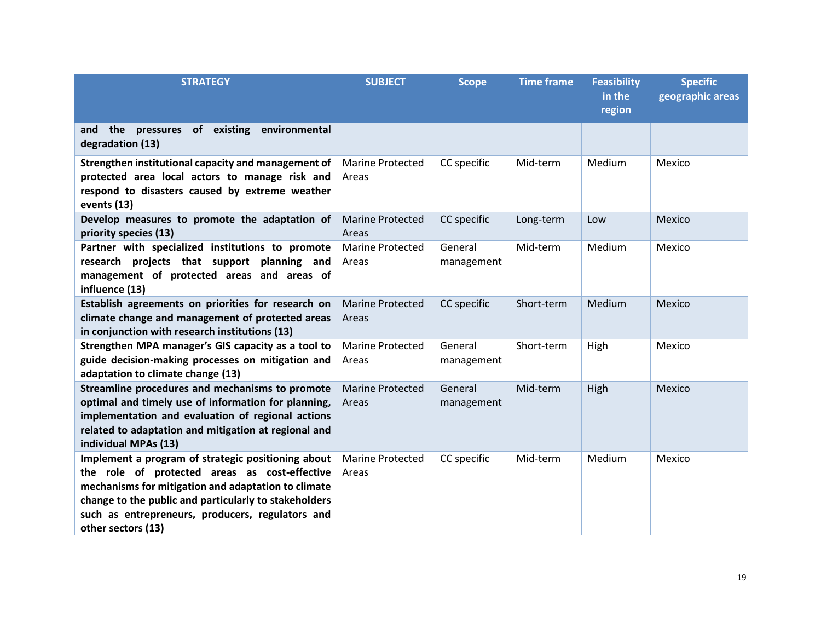| <b>STRATEGY</b>                                                                                                                                                                                                                                                                               | <b>SUBJECT</b>                   | <b>Scope</b>          | <b>Time frame</b> | <b>Feasibility</b><br>in the<br>region | <b>Specific</b><br>geographic areas |
|-----------------------------------------------------------------------------------------------------------------------------------------------------------------------------------------------------------------------------------------------------------------------------------------------|----------------------------------|-----------------------|-------------------|----------------------------------------|-------------------------------------|
| and the pressures of existing environmental<br>degradation (13)                                                                                                                                                                                                                               |                                  |                       |                   |                                        |                                     |
| Strengthen institutional capacity and management of<br>protected area local actors to manage risk and<br>respond to disasters caused by extreme weather<br>events (13)                                                                                                                        | Marine Protected<br>Areas        | CC specific           | Mid-term          | Medium                                 | Mexico                              |
| Develop measures to promote the adaptation of<br>priority species (13)                                                                                                                                                                                                                        | <b>Marine Protected</b><br>Areas | CC specific           | Long-term         | Low                                    | Mexico                              |
| Partner with specialized institutions to promote<br>research projects that support planning and<br>management of protected areas and areas of<br>influence (13)                                                                                                                               | <b>Marine Protected</b><br>Areas | General<br>management | Mid-term          | Medium                                 | Mexico                              |
| Establish agreements on priorities for research on<br>climate change and management of protected areas<br>in conjunction with research institutions (13)                                                                                                                                      | <b>Marine Protected</b><br>Areas | CC specific           | Short-term        | Medium                                 | Mexico                              |
| Strengthen MPA manager's GIS capacity as a tool to<br>guide decision-making processes on mitigation and<br>adaptation to climate change (13)                                                                                                                                                  | <b>Marine Protected</b><br>Areas | General<br>management | Short-term        | High                                   | Mexico                              |
| Streamline procedures and mechanisms to promote<br>optimal and timely use of information for planning,<br>implementation and evaluation of regional actions<br>related to adaptation and mitigation at regional and<br>individual MPAs (13)                                                   | <b>Marine Protected</b><br>Areas | General<br>management | Mid-term          | High                                   | Mexico                              |
| Implement a program of strategic positioning about<br>the role of protected areas as cost-effective<br>mechanisms for mitigation and adaptation to climate<br>change to the public and particularly to stakeholders<br>such as entrepreneurs, producers, regulators and<br>other sectors (13) | <b>Marine Protected</b><br>Areas | CC specific           | Mid-term          | Medium                                 | Mexico                              |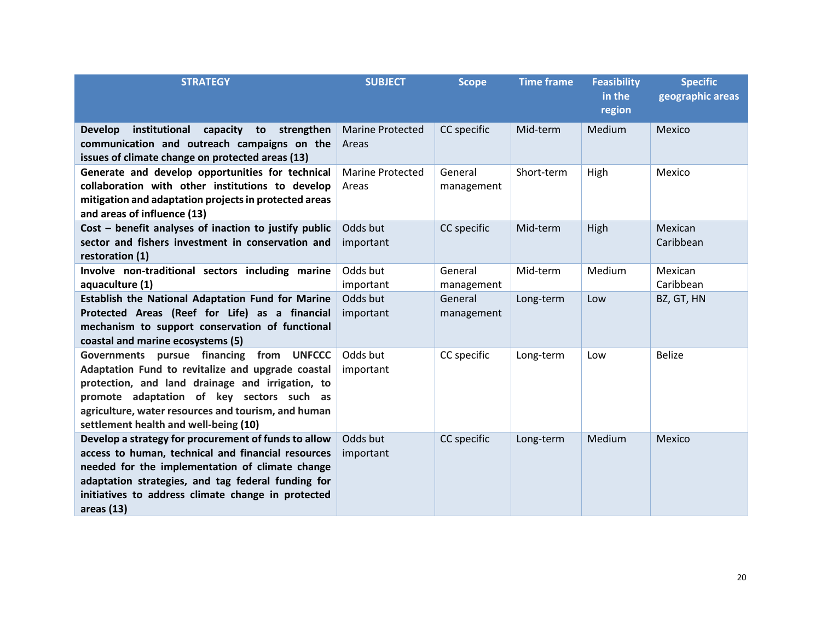| <b>STRATEGY</b>                                                                                                                                                                                                                                                                                   | <b>SUBJECT</b>                   | <b>Scope</b>          | <b>Time frame</b> | <b>Feasibility</b><br>in the<br>region | <b>Specific</b><br>geographic areas |
|---------------------------------------------------------------------------------------------------------------------------------------------------------------------------------------------------------------------------------------------------------------------------------------------------|----------------------------------|-----------------------|-------------------|----------------------------------------|-------------------------------------|
| institutional<br>capacity to strengthen<br><b>Develop</b><br>communication and outreach campaigns on the<br>issues of climate change on protected areas (13)                                                                                                                                      | <b>Marine Protected</b><br>Areas | CC specific           | Mid-term          | Medium                                 | Mexico                              |
| Generate and develop opportunities for technical<br>collaboration with other institutions to develop<br>mitigation and adaptation projects in protected areas<br>and areas of influence (13)                                                                                                      | <b>Marine Protected</b><br>Areas | General<br>management | Short-term        | High                                   | Mexico                              |
| Cost - benefit analyses of inaction to justify public<br>sector and fishers investment in conservation and<br>restoration (1)                                                                                                                                                                     | Odds but<br>important            | CC specific           | Mid-term          | High                                   | Mexican<br>Caribbean                |
| Involve non-traditional sectors including marine<br>aquaculture (1)                                                                                                                                                                                                                               | Odds but<br>important            | General<br>management | Mid-term          | Medium                                 | Mexican<br>Caribbean                |
| <b>Establish the National Adaptation Fund for Marine</b><br>Protected Areas (Reef for Life) as a financial<br>mechanism to support conservation of functional<br>coastal and marine ecosystems (5)                                                                                                | Odds but<br>important            | General<br>management | Long-term         | Low                                    | BZ, GT, HN                          |
| Governments pursue financing<br>from UNFCCC<br>Adaptation Fund to revitalize and upgrade coastal<br>protection, and land drainage and irrigation, to<br>promote adaptation of key sectors such as<br>agriculture, water resources and tourism, and human<br>settlement health and well-being (10) | Odds but<br>important            | CC specific           | Long-term         | Low                                    | <b>Belize</b>                       |
| Develop a strategy for procurement of funds to allow<br>access to human, technical and financial resources<br>needed for the implementation of climate change<br>adaptation strategies, and tag federal funding for<br>initiatives to address climate change in protected<br>areas $(13)$         | Odds but<br>important            | CC specific           | Long-term         | Medium                                 | Mexico                              |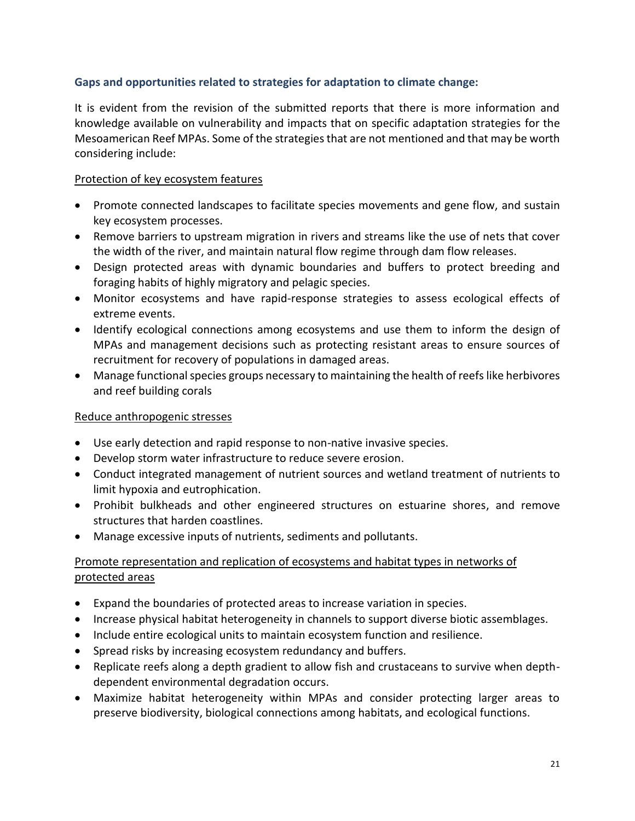## **Gaps and opportunities related to strategies for adaptation to climate change:**

It is evident from the revision of the submitted reports that there is more information and knowledge available on vulnerability and impacts that on specific adaptation strategies for the Mesoamerican Reef MPAs. Some of the strategies that are not mentioned and that may be worth considering include:

## Protection of key ecosystem features

- Promote connected landscapes to facilitate species movements and gene flow, and sustain key ecosystem processes.
- Remove barriers to upstream migration in rivers and streams like the use of nets that cover the width of the river, and maintain natural flow regime through dam flow releases.
- Design protected areas with dynamic boundaries and buffers to protect breeding and foraging habits of highly migratory and pelagic species.
- Monitor ecosystems and have rapid-response strategies to assess ecological effects of extreme events.
- Identify ecological connections among ecosystems and use them to inform the design of MPAs and management decisions such as protecting resistant areas to ensure sources of recruitment for recovery of populations in damaged areas.
- Manage functional species groups necessary to maintaining the health of reefs like herbivores and reef building corals

## Reduce anthropogenic stresses

- Use early detection and rapid response to non-native invasive species.
- Develop storm water infrastructure to reduce severe erosion.
- Conduct integrated management of nutrient sources and wetland treatment of nutrients to limit hypoxia and eutrophication.
- Prohibit bulkheads and other engineered structures on estuarine shores, and remove structures that harden coastlines.
- Manage excessive inputs of nutrients, sediments and pollutants.

## Promote representation and replication of ecosystems and habitat types in networks of protected areas

- Expand the boundaries of protected areas to increase variation in species.
- Increase physical habitat heterogeneity in channels to support diverse biotic assemblages.
- Include entire ecological units to maintain ecosystem function and resilience.
- Spread risks by increasing ecosystem redundancy and buffers.
- Replicate reefs along a depth gradient to allow fish and crustaceans to survive when depthdependent environmental degradation occurs.
- Maximize habitat heterogeneity within MPAs and consider protecting larger areas to preserve biodiversity, biological connections among habitats, and ecological functions.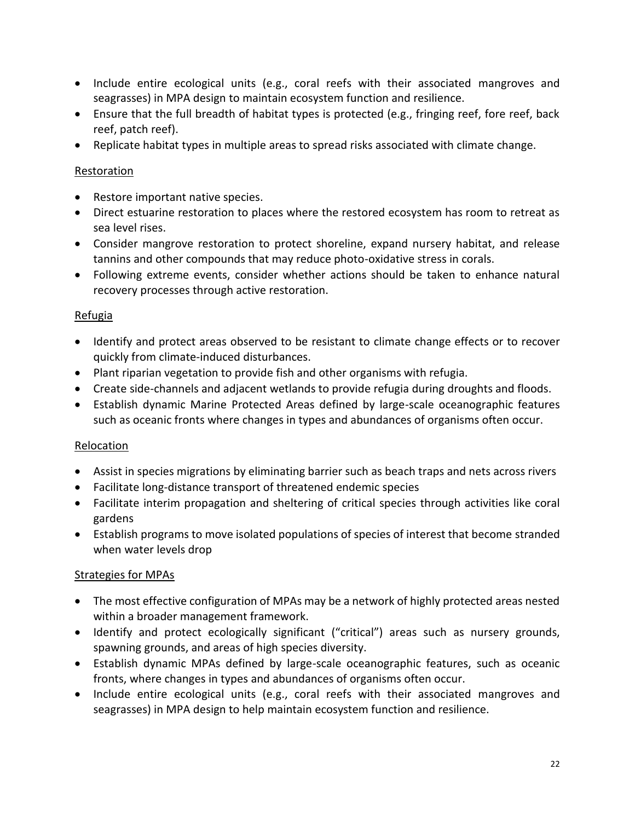- Include entire ecological units (e.g., coral reefs with their associated mangroves and seagrasses) in MPA design to maintain ecosystem function and resilience.
- Ensure that the full breadth of habitat types is protected (e.g., fringing reef, fore reef, back reef, patch reef).
- Replicate habitat types in multiple areas to spread risks associated with climate change.

## **Restoration**

- Restore important native species.
- Direct estuarine restoration to places where the restored ecosystem has room to retreat as sea level rises.
- Consider mangrove restoration to protect shoreline, expand nursery habitat, and release tannins and other compounds that may reduce photo-oxidative stress in corals.
- Following extreme events, consider whether actions should be taken to enhance natural recovery processes through active restoration.

## Refugia

- Identify and protect areas observed to be resistant to climate change effects or to recover quickly from climate-induced disturbances.
- Plant riparian vegetation to provide fish and other organisms with refugia.
- Create side-channels and adjacent wetlands to provide refugia during droughts and floods.
- Establish dynamic Marine Protected Areas defined by large-scale oceanographic features such as oceanic fronts where changes in types and abundances of organisms often occur.

### Relocation

- Assist in species migrations by eliminating barrier such as beach traps and nets across rivers
- Facilitate long-distance transport of threatened endemic species
- Facilitate interim propagation and sheltering of critical species through activities like coral gardens
- Establish programs to move isolated populations of species of interest that become stranded when water levels drop

### Strategies for MPAs

- The most effective configuration of MPAs may be a network of highly protected areas nested within a broader management framework.
- Identify and protect ecologically significant ("critical") areas such as nursery grounds, spawning grounds, and areas of high species diversity.
- Establish dynamic MPAs defined by large-scale oceanographic features, such as oceanic fronts, where changes in types and abundances of organisms often occur.
- Include entire ecological units (e.g., coral reefs with their associated mangroves and seagrasses) in MPA design to help maintain ecosystem function and resilience.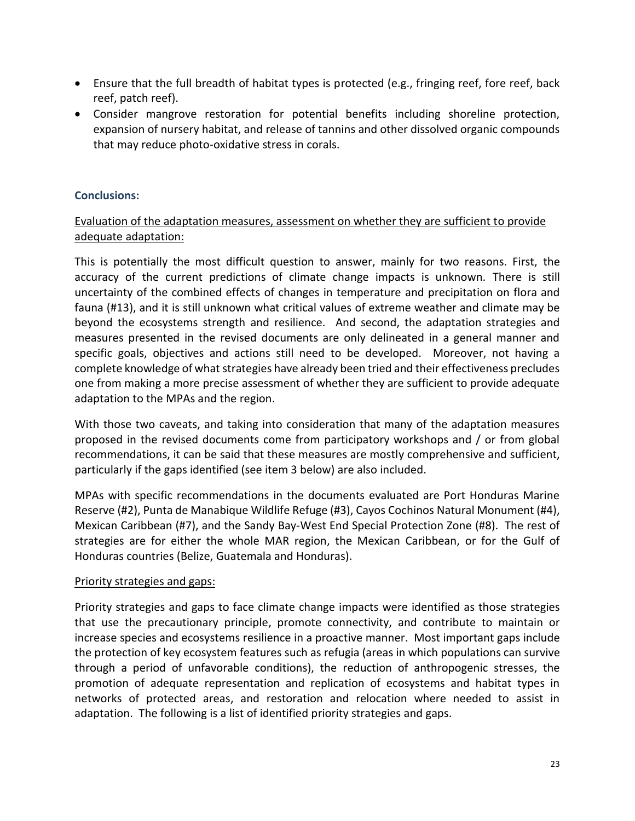- Ensure that the full breadth of habitat types is protected (e.g., fringing reef, fore reef, back reef, patch reef).
- Consider mangrove restoration for potential benefits including shoreline protection, expansion of nursery habitat, and release of tannins and other dissolved organic compounds that may reduce photo-oxidative stress in corals.

## **Conclusions:**

## Evaluation of the adaptation measures, assessment on whether they are sufficient to provide adequate adaptation:

This is potentially the most difficult question to answer, mainly for two reasons. First, the accuracy of the current predictions of climate change impacts is unknown. There is still uncertainty of the combined effects of changes in temperature and precipitation on flora and fauna (#13), and it is still unknown what critical values of extreme weather and climate may be beyond the ecosystems strength and resilience. And second, the adaptation strategies and measures presented in the revised documents are only delineated in a general manner and specific goals, objectives and actions still need to be developed. Moreover, not having a complete knowledge of what strategies have already been tried and their effectiveness precludes one from making a more precise assessment of whether they are sufficient to provide adequate adaptation to the MPAs and the region.

With those two caveats, and taking into consideration that many of the adaptation measures proposed in the revised documents come from participatory workshops and / or from global recommendations, it can be said that these measures are mostly comprehensive and sufficient, particularly if the gaps identified (see item 3 below) are also included.

MPAs with specific recommendations in the documents evaluated are Port Honduras Marine Reserve (#2), Punta de Manabique Wildlife Refuge (#3), Cayos Cochinos Natural Monument (#4), Mexican Caribbean (#7), and the Sandy Bay-West End Special Protection Zone (#8). The rest of strategies are for either the whole MAR region, the Mexican Caribbean, or for the Gulf of Honduras countries (Belize, Guatemala and Honduras).

### Priority strategies and gaps:

Priority strategies and gaps to face climate change impacts were identified as those strategies that use the precautionary principle, promote connectivity, and contribute to maintain or increase species and ecosystems resilience in a proactive manner. Most important gaps include the protection of key ecosystem features such as refugia (areas in which populations can survive through a period of unfavorable conditions), the reduction of anthropogenic stresses, the promotion of adequate representation and replication of ecosystems and habitat types in networks of protected areas, and restoration and relocation where needed to assist in adaptation. The following is a list of identified priority strategies and gaps.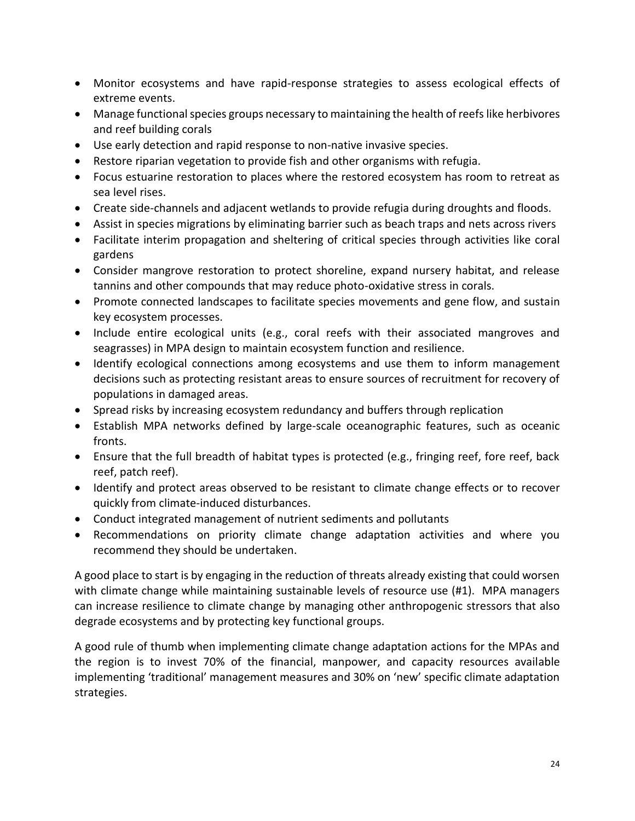- Monitor ecosystems and have rapid-response strategies to assess ecological effects of extreme events.
- Manage functional species groups necessary to maintaining the health of reefs like herbivores and reef building corals
- Use early detection and rapid response to non-native invasive species.
- Restore riparian vegetation to provide fish and other organisms with refugia.
- Focus estuarine restoration to places where the restored ecosystem has room to retreat as sea level rises.
- Create side-channels and adjacent wetlands to provide refugia during droughts and floods.
- Assist in species migrations by eliminating barrier such as beach traps and nets across rivers
- Facilitate interim propagation and sheltering of critical species through activities like coral gardens
- Consider mangrove restoration to protect shoreline, expand nursery habitat, and release tannins and other compounds that may reduce photo-oxidative stress in corals.
- Promote connected landscapes to facilitate species movements and gene flow, and sustain key ecosystem processes.
- Include entire ecological units (e.g., coral reefs with their associated mangroves and seagrasses) in MPA design to maintain ecosystem function and resilience.
- Identify ecological connections among ecosystems and use them to inform management decisions such as protecting resistant areas to ensure sources of recruitment for recovery of populations in damaged areas.
- Spread risks by increasing ecosystem redundancy and buffers through replication
- Establish MPA networks defined by large-scale oceanographic features, such as oceanic fronts.
- Ensure that the full breadth of habitat types is protected (e.g., fringing reef, fore reef, back reef, patch reef).
- Identify and protect areas observed to be resistant to climate change effects or to recover quickly from climate-induced disturbances.
- Conduct integrated management of nutrient sediments and pollutants
- Recommendations on priority climate change adaptation activities and where you recommend they should be undertaken.

A good place to start is by engaging in the reduction of threats already existing that could worsen with climate change while maintaining sustainable levels of resource use (#1). MPA managers can increase resilience to climate change by managing other anthropogenic stressors that also degrade ecosystems and by protecting key functional groups.

A good rule of thumb when implementing climate change adaptation actions for the MPAs and the region is to invest 70% of the financial, manpower, and capacity resources available implementing 'traditional' management measures and 30% on 'new' specific climate adaptation strategies.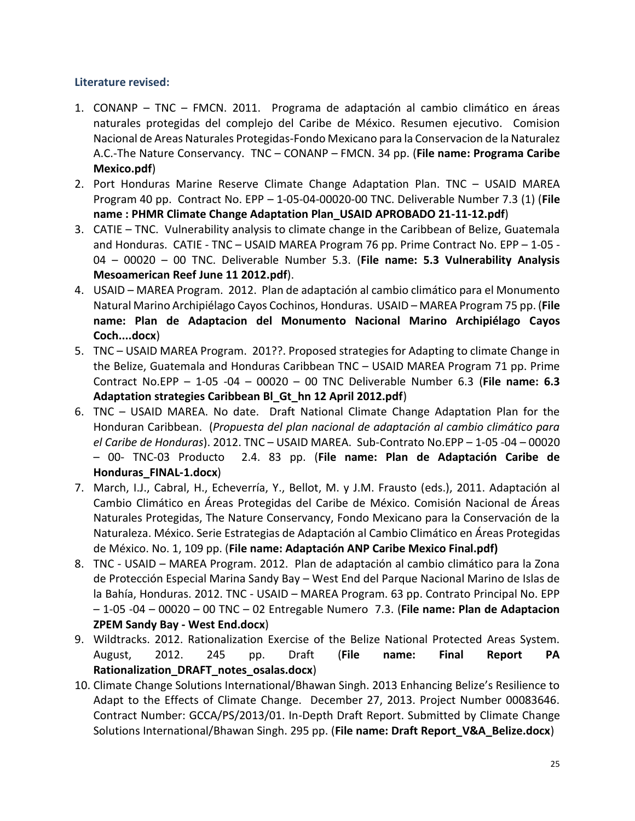## **Literature revised:**

- 1. CONANP TNC FMCN. 2011. Programa de adaptación al cambio climático en áreas naturales protegidas del complejo del Caribe de México. Resumen ejecutivo. Comision Nacional de Areas Naturales Protegidas-Fondo Mexicano para la Conservacion de la Naturalez A.C.-The Nature Conservancy. TNC – CONANP – FMCN. 34 pp. (**File name: Programa Caribe Mexico.pdf**)
- 2. Port Honduras Marine Reserve Climate Change Adaptation Plan. TNC USAID MAREA Program 40 pp. Contract No. EPP – 1-05-04-00020-00 TNC. Deliverable Number 7.3 (1) (**File name : PHMR Climate Change Adaptation Plan\_USAID APROBADO 21-11-12.pdf**)
- 3. CATIE TNC. Vulnerability analysis to climate change in the Caribbean of Belize, Guatemala and Honduras. CATIE - TNC – USAID MAREA Program 76 pp. Prime Contract No. EPP – 1-05 - 04 – 00020 – 00 TNC. Deliverable Number 5.3. (**File name: 5.3 Vulnerability Analysis Mesoamerican Reef June 11 2012.pdf**).
- 4. USAID MAREA Program. 2012. Plan de adaptación al cambio climático para el Monumento Natural Marino Archipiélago Cayos Cochinos, Honduras. USAID – MAREA Program 75 pp. (**File name: Plan de Adaptacion del Monumento Nacional Marino Archipiélago Cayos Coch....docx**)
- 5. TNC USAID MAREA Program. 201??. Proposed strategies for Adapting to climate Change in the Belize, Guatemala and Honduras Caribbean TNC – USAID MAREA Program 71 pp. Prime Contract No.EPP – 1-05 -04 – 00020 – 00 TNC Deliverable Number 6.3 (**File name: 6.3 Adaptation strategies Caribbean Bl\_Gt\_hn 12 April 2012.pdf**)
- 6. TNC USAID MAREA. No date. Draft National Climate Change Adaptation Plan for the Honduran Caribbean. (*Propuesta del plan nacional de adaptación al cambio climático para el Caribe de Honduras*). 2012. TNC – USAID MAREA. Sub-Contrato No.EPP – 1-05 -04 – 00020 – 00- TNC-03 Producto 2.4. 83 pp. (**File name: Plan de Adaptación Caribe de Honduras\_FINAL-1.docx**)
- 7. March, I.J., Cabral, H., Echeverría, Y., Bellot, M. y J.M. Frausto (eds.), 2011. Adaptación al Cambio Climático en Áreas Protegidas del Caribe de México. Comisión Nacional de Áreas Naturales Protegidas, The Nature Conservancy, Fondo Mexicano para la Conservación de la Naturaleza. México. Serie Estrategias de Adaptación al Cambio Climático en Áreas Protegidas de México. No. 1, 109 pp. (**File name: Adaptación ANP Caribe Mexico Final.pdf)**
- 8. TNC USAID MAREA Program. 2012. Plan de adaptación al cambio climático para la Zona de Protección Especial Marina Sandy Bay – West End del Parque Nacional Marino de Islas de la Bahía, Honduras. 2012. TNC - USAID – MAREA Program. 63 pp. Contrato Principal No. EPP – 1-05 -04 – 00020 – 00 TNC – 02 Entregable Numero 7.3. (**File name: Plan de Adaptacion ZPEM Sandy Bay - West End.docx**)
- 9. Wildtracks. 2012. Rationalization Exercise of the Belize National Protected Areas System. August, 2012. 245 pp. Draft (**File name: Final Report PA Rationalization\_DRAFT\_notes\_osalas.docx**)
- 10. Climate Change Solutions International/Bhawan Singh. 2013 Enhancing Belize's Resilience to Adapt to the Effects of Climate Change. December 27, 2013. Project Number 00083646. Contract Number: GCCA/PS/2013/01. In-Depth Draft Report. Submitted by Climate Change Solutions International/Bhawan Singh. 295 pp. (**File name: Draft Report\_V&A\_Belize.docx**)